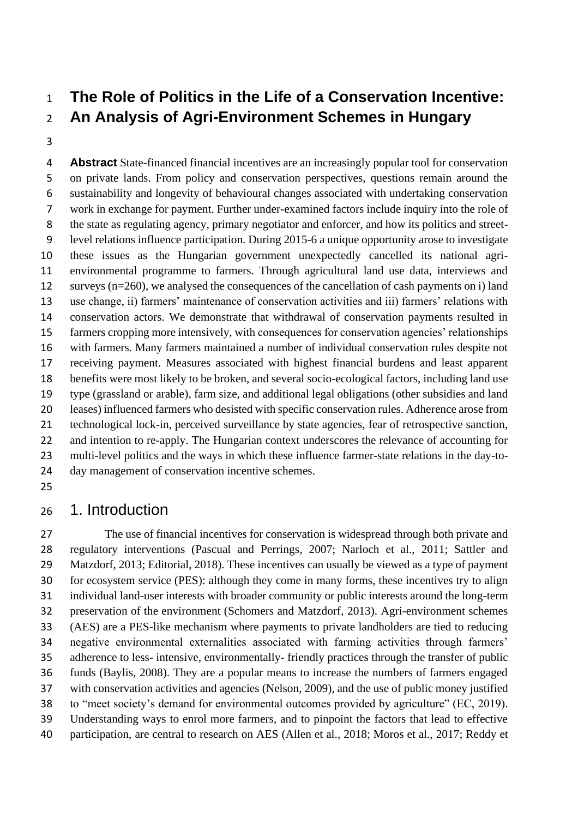# **The Role of Politics in the Life of a Conservation Incentive: An Analysis of Agri-Environment Schemes in Hungary**

 **Abstract** State-financed financial incentives are an increasingly popular tool for conservation on private lands. From policy and conservation perspectives, questions remain around the sustainability and longevity of behavioural changes associated with undertaking conservation work in exchange for payment. Further under-examined factors include inquiry into the role of the state as regulating agency, primary negotiator and enforcer, and how its politics and street- level relations influence participation. During 2015-6 a unique opportunity arose to investigate these issues as the Hungarian government unexpectedly cancelled its national agri- environmental programme to farmers. Through agricultural land use data, interviews and surveys (n=260), we analysed the consequences of the cancellation of cash payments on i) land use change, ii) farmers' maintenance of conservation activities and iii) farmers' relations with conservation actors. We demonstrate that withdrawal of conservation payments resulted in farmers cropping more intensively, with consequences for conservation agencies' relationships with farmers. Many farmers maintained a number of individual conservation rules despite not receiving payment. Measures associated with highest financial burdens and least apparent benefits were most likely to be broken, and several socio-ecological factors, including land use type (grassland or arable), farm size, and additional legal obligations (other subsidies and land leases) influenced farmers who desisted with specific conservation rules. Adherence arose from technological lock-in, perceived surveillance by state agencies, fear of retrospective sanction, and intention to re-apply. The Hungarian context underscores the relevance of accounting for multi-level politics and the ways in which these influence farmer-state relations in the day-to-day management of conservation incentive schemes.

## 1. Introduction

 The use of financial incentives for conservation is widespread through both private and regulatory interventions (Pascual and Perrings, 2007; Narloch et al., 2011; Sattler and Matzdorf, 2013; Editorial, 2018). These incentives can usually be viewed as a type of payment for ecosystem service (PES): although they come in many forms, these incentives try to align individual land-user interests with broader community or public interests around the long-term preservation of the environment (Schomers and Matzdorf, 2013). Agri-environment schemes (AES) are a PES-like mechanism where payments to private landholders are tied to reducing negative environmental externalities associated with farming activities through farmers' adherence to less- intensive, environmentally- friendly practices through the transfer of public funds (Baylis, 2008). They are a popular means to increase the numbers of farmers engaged with conservation activities and agencies (Nelson, 2009), and the use of public money justified to "meet society's demand for environmental outcomes provided by agriculture" (EC, 2019). Understanding ways to enrol more farmers, and to pinpoint the factors that lead to effective participation, are central to research on AES (Allen et al., 2018; Moros et al., 2017; Reddy et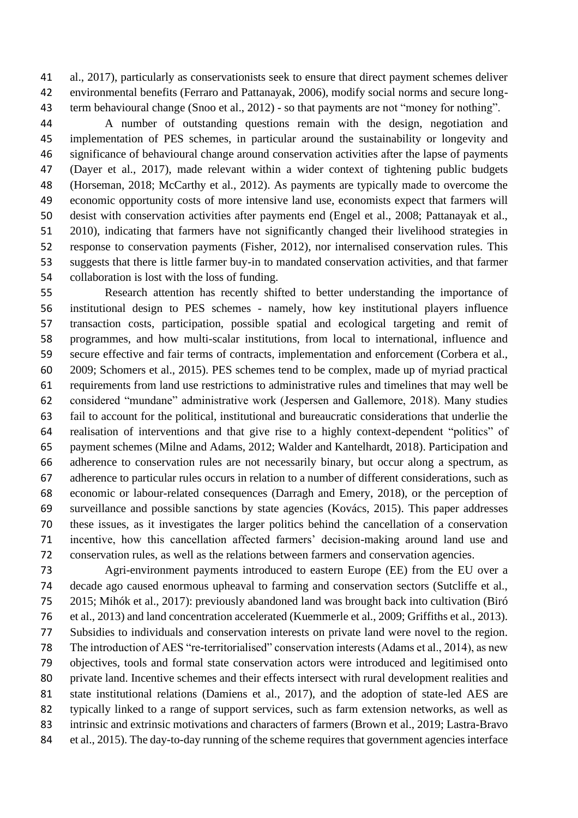al., 2017), particularly as conservationists seek to ensure that direct payment schemes deliver environmental benefits (Ferraro and Pattanayak, 2006), modify social norms and secure long-43 term behavioural change (Snoo et al., 2012) - so that payments are not "money for nothing".

 A number of outstanding questions remain with the design, negotiation and implementation of PES schemes, in particular around the sustainability or longevity and significance of behavioural change around conservation activities after the lapse of payments (Dayer et al., 2017), made relevant within a wider context of tightening public budgets (Horseman, 2018; McCarthy et al., 2012). As payments are typically made to overcome the economic opportunity costs of more intensive land use, economists expect that farmers will desist with conservation activities after payments end (Engel et al., 2008; Pattanayak et al., 2010), indicating that farmers have not significantly changed their livelihood strategies in response to conservation payments (Fisher, 2012), nor internalised conservation rules. This suggests that there is little farmer buy-in to mandated conservation activities, and that farmer collaboration is lost with the loss of funding.

 Research attention has recently shifted to better understanding the importance of institutional design to PES schemes - namely, how key institutional players influence transaction costs, participation, possible spatial and ecological targeting and remit of programmes, and how multi-scalar institutions, from local to international, influence and secure effective and fair terms of contracts, implementation and enforcement (Corbera et al., 2009; Schomers et al., 2015). PES schemes tend to be complex, made up of myriad practical requirements from land use restrictions to administrative rules and timelines that may well be considered "mundane" administrative work (Jespersen and Gallemore, 2018). Many studies fail to account for the political, institutional and bureaucratic considerations that underlie the realisation of interventions and that give rise to a highly context-dependent "politics" of payment schemes (Milne and Adams, 2012; Walder and Kantelhardt, 2018). Participation and adherence to conservation rules are not necessarily binary, but occur along a spectrum, as adherence to particular rules occurs in relation to a number of different considerations, such as economic or labour-related consequences (Darragh and Emery, 2018), or the perception of surveillance and possible sanctions by state agencies (Kovács, 2015). This paper addresses these issues, as it investigates the larger politics behind the cancellation of a conservation incentive, how this cancellation affected farmers' decision-making around land use and conservation rules, as well as the relations between farmers and conservation agencies.

 Agri-environment payments introduced to eastern Europe (EE) from the EU over a decade ago caused enormous upheaval to farming and conservation sectors (Sutcliffe et al., 2015; Mihók et al., 2017): previously abandoned land was brought back into cultivation (Biró et al., 2013) and land concentration accelerated (Kuemmerle et al., 2009; Griffiths et al., 2013). Subsidies to individuals and conservation interests on private land were novel to the region. The introduction of AES "re-territorialised" conservation interests (Adams et al., 2014), as new objectives, tools and formal state conservation actors were introduced and legitimised onto private land. Incentive schemes and their effects intersect with rural development realities and state institutional relations (Damiens et al., 2017), and the adoption of state-led AES are typically linked to a range of support services, such as farm extension networks, as well as intrinsic and extrinsic motivations and characters of farmers (Brown et al., 2019; Lastra-Bravo et al., 2015). The day-to-day running of the scheme requires that government agencies interface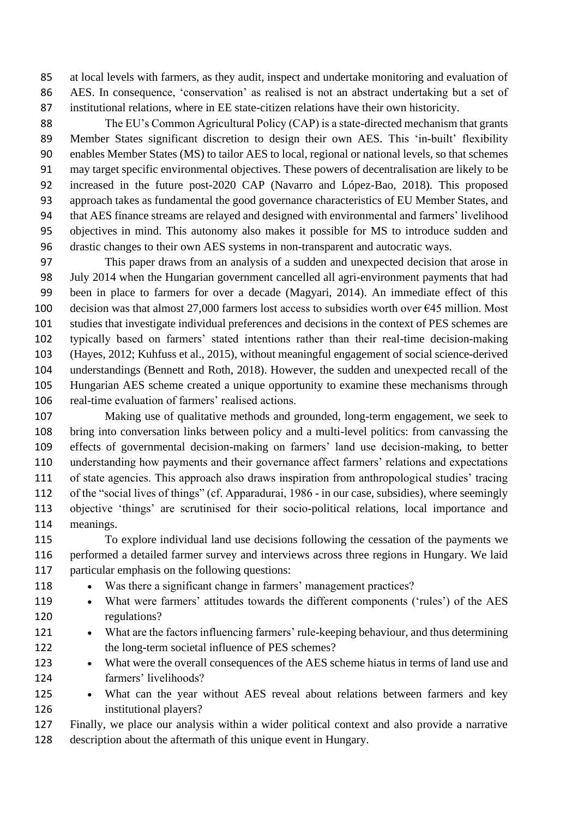at local levels with farmers, as they audit, inspect and undertake monitoring and evaluation of AES. In consequence, 'conservation' as realised is not an abstract undertaking but a set of institutional relations, where in EE state-citizen relations have their own historicity.

 The EU's Common Agricultural Policy (CAP) is a state-directed mechanism that grants 89 Member States significant discretion to design their own AES. This 'in-built' flexibility enables Member States (MS) to tailor AES to local, regional or national levels, so that schemes may target specific environmental objectives. These powers of decentralisation are likely to be increased in the future post-2020 CAP (Navarro and López-Bao, 2018). This proposed approach takes as fundamental the good governance characteristics of EU Member States, and that AES finance streams are relayed and designed with environmental and farmers' livelihood objectives in mind. This autonomy also makes it possible for MS to introduce sudden and drastic changes to their own AES systems in non-transparent and autocratic ways.

 This paper draws from an analysis of a sudden and unexpected decision that arose in July 2014 when the Hungarian government cancelled all agri-environment payments that had been in place to farmers for over a decade (Magyari, 2014). An immediate effect of this 100 decision was that almost 27,000 farmers lost access to subsidies worth over  $\epsilon$ 45 million. Most studies that investigate individual preferences and decisions in the context of PES schemes are typically based on farmers' stated intentions rather than their real-time decision-making (Hayes, 2012; Kuhfuss et al., 2015), without meaningful engagement of social science-derived understandings (Bennett and Roth, 2018). However, the sudden and unexpected recall of the Hungarian AES scheme created a unique opportunity to examine these mechanisms through real-time evaluation of farmers' realised actions.

 Making use of qualitative methods and grounded, long-term engagement, we seek to bring into conversation links between policy and a multi-level politics: from canvassing the effects of governmental decision-making on farmers' land use decision-making, to better understanding how payments and their governance affect farmers' relations and expectations of state agencies. This approach also draws inspiration from anthropological studies' tracing of the "social lives of things" (cf. Apparadurai, 1986 - in our case, subsidies), where seemingly objective 'things' are scrutinised for their socio-political relations, local importance and meanings.

 To explore individual land use decisions following the cessation of the payments we performed a detailed farmer survey and interviews across three regions in Hungary. We laid particular emphasis on the following questions:

- Was there a significant change in farmers' management practices?
- 119 What were farmers' attitudes towards the different components ('rules') of the AES regulations?
- 121 What are the factors influencing farmers' rule-keeping behaviour, and thus determining 122 the long-term societal influence of PES schemes?
- 123 What were the overall consequences of the AES scheme hiatus in terms of land use and farmers' livelihoods?
- 125 What can the year without AES reveal about relations between farmers and key institutional players?

 Finally, we place our analysis within a wider political context and also provide a narrative description about the aftermath of this unique event in Hungary.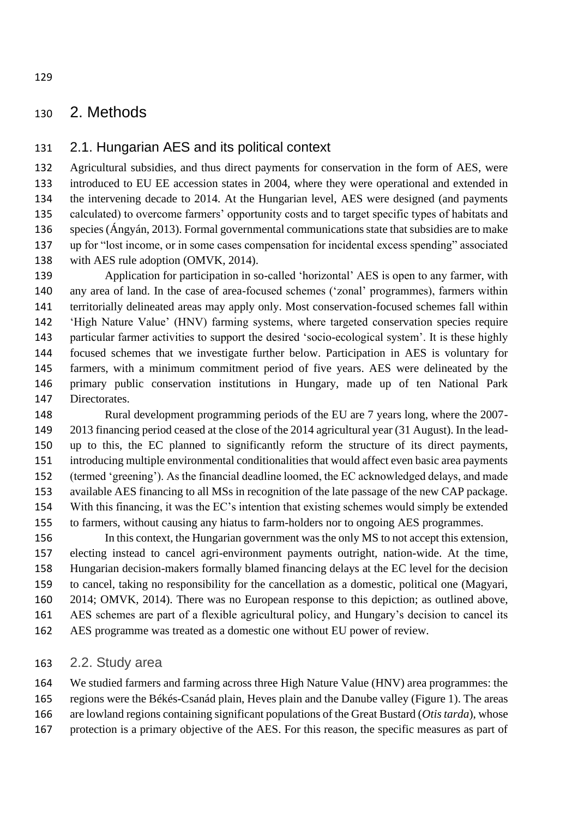## 2. Methods

#### 2.1. Hungarian AES and its political context

 Agricultural subsidies, and thus direct payments for conservation in the form of AES, were introduced to EU EE accession states in 2004, where they were operational and extended in the intervening decade to 2014. At the Hungarian level, AES were designed (and payments calculated) to overcome farmers' opportunity costs and to target specific types of habitats and species (Ángyán, 2013). Formal governmental communications state that subsidies are to make up for "lost income, or in some cases compensation for incidental excess spending" associated 138 with AES rule adoption (OMVK, 2014).

 Application for participation in so-called 'horizontal' AES is open to any farmer, with any area of land. In the case of area-focused schemes ('zonal' programmes), farmers within territorially delineated areas may apply only. Most conservation-focused schemes fall within 'High Nature Value' (HNV) farming systems, where targeted conservation species require particular farmer activities to support the desired 'socio-ecological system'. It is these highly focused schemes that we investigate further below. Participation in AES is voluntary for farmers, with a minimum commitment period of five years. AES were delineated by the primary public conservation institutions in Hungary, made up of ten National Park Directorates.

 Rural development programming periods of the EU are 7 years long, where the 2007- 2013 financing period ceased at the close of the 2014 agricultural year (31 August). In the lead- up to this, the EC planned to significantly reform the structure of its direct payments, introducing multiple environmental conditionalities that would affect even basic area payments (termed 'greening'). As the financial deadline loomed, the EC acknowledged delays, and made available AES financing to all MSs in recognition of the late passage of the new CAP package. With this financing, it was the EC's intention that existing schemes would simply be extended to farmers, without causing any hiatus to farm-holders nor to ongoing AES programmes.

 In this context, the Hungarian government was the only MS to not accept this extension, electing instead to cancel agri-environment payments outright, nation-wide. At the time, Hungarian decision-makers formally blamed financing delays at the EC level for the decision to cancel, taking no responsibility for the cancellation as a domestic, political one (Magyari, 2014; OMVK, 2014). There was no European response to this depiction; as outlined above, AES schemes are part of a flexible agricultural policy, and Hungary's decision to cancel its AES programme was treated as a domestic one without EU power of review.

#### 2.2. Study area

 We studied farmers and farming across three High Nature Value (HNV) area programmes: the regions were the Békés-Csanád plain, Heves plain and the Danube valley (Figure 1). The areas are lowland regions containing significant populations of the Great Bustard (*Otis tarda*), whose

protection is a primary objective of the AES. For this reason, the specific measures as part of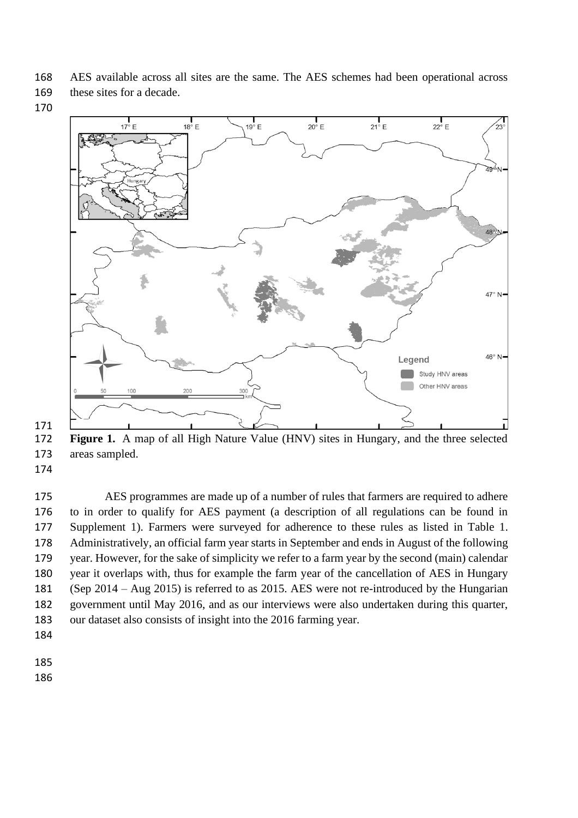- AES available across all sites are the same. The AES schemes had been operational across
- these sites for a decade.
- 



 **Figure 1.** A map of all High Nature Value (HNV) sites in Hungary, and the three selected areas sampled.

 AES programmes are made up of a number of rules that farmers are required to adhere to in order to qualify for AES payment (a description of all regulations can be found in Supplement 1). Farmers were surveyed for adherence to these rules as listed in Table 1. Administratively, an official farm year starts in September and ends in August of the following year. However, for the sake of simplicity we refer to a farm year by the second (main) calendar year it overlaps with, thus for example the farm year of the cancellation of AES in Hungary (Sep 2014 – Aug 2015) is referred to as 2015. AES were not re-introduced by the Hungarian government until May 2016, and as our interviews were also undertaken during this quarter, our dataset also consists of insight into the 2016 farming year.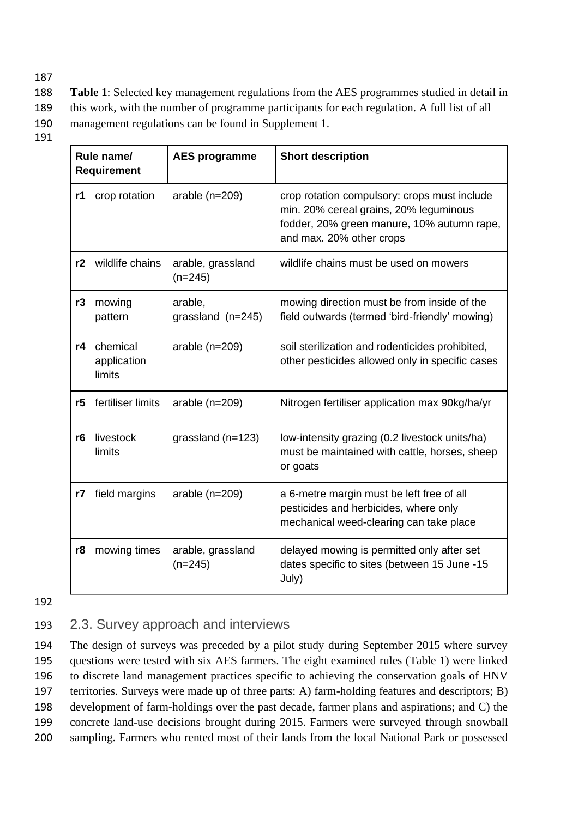188 **Table 1**: Selected key management regulations from the AES programmes studied in detail in

- 189 this work, with the number of programme participants for each regulation. A full list of all
- 190 management regulations can be found in Supplement 1.
- 191

|    | Rule name/<br><b>Requirement</b>  | <b>AES programme</b>           | <b>Short description</b>                                                                                                                                         |
|----|-----------------------------------|--------------------------------|------------------------------------------------------------------------------------------------------------------------------------------------------------------|
| r1 | crop rotation                     | arable $(n=209)$               | crop rotation compulsory: crops must include<br>min. 20% cereal grains, 20% leguminous<br>fodder, 20% green manure, 10% autumn rape,<br>and max. 20% other crops |
| r2 | wildlife chains                   | arable, grassland<br>$(n=245)$ | wildlife chains must be used on mowers                                                                                                                           |
| r3 | mowing<br>pattern                 | arable,<br>grassland $(n=245)$ | mowing direction must be from inside of the<br>field outwards (termed 'bird-friendly' mowing)                                                                    |
| r4 | chemical<br>application<br>limits | arable $(n=209)$               | soil sterilization and rodenticides prohibited,<br>other pesticides allowed only in specific cases                                                               |
| r5 | fertiliser limits                 | arable $(n=209)$               | Nitrogen fertiliser application max 90kg/ha/yr                                                                                                                   |
| r6 | livestock<br>limits               | grassland ( $n=123$ )          | low-intensity grazing (0.2 livestock units/ha)<br>must be maintained with cattle, horses, sheep<br>or goats                                                      |
| r7 | field margins                     | arable $(n=209)$               | a 6-metre margin must be left free of all<br>pesticides and herbicides, where only<br>mechanical weed-clearing can take place                                    |
| r8 | mowing times                      | arable, grassland<br>$(n=245)$ | delayed mowing is permitted only after set<br>dates specific to sites (between 15 June -15<br>July)                                                              |

192

# 193 2.3. Survey approach and interviews

 The design of surveys was preceded by a pilot study during September 2015 where survey questions were tested with six AES farmers. The eight examined rules (Table 1) were linked to discrete land management practices specific to achieving the conservation goals of HNV territories. Surveys were made up of three parts: A) farm-holding features and descriptors; B) development of farm-holdings over the past decade, farmer plans and aspirations; and C) the concrete land-use decisions brought during 2015. Farmers were surveyed through snowball sampling. Farmers who rented most of their lands from the local National Park or possessed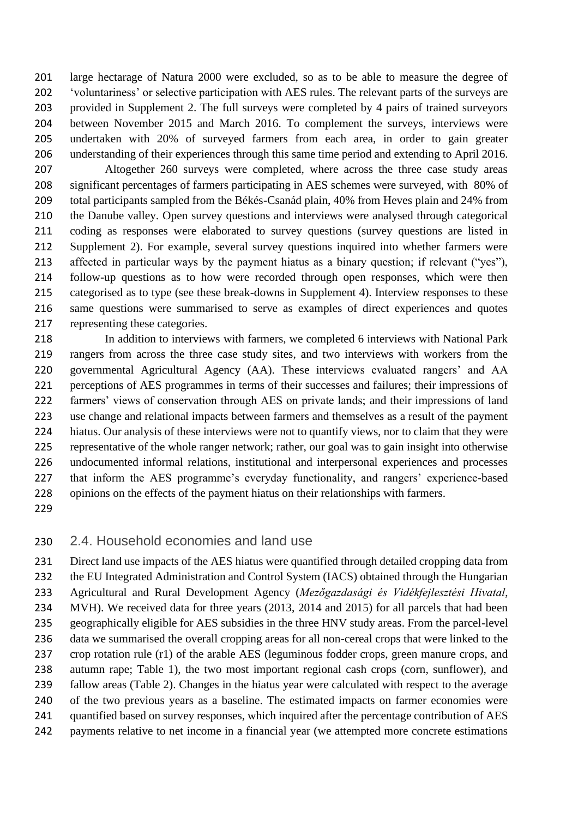large hectarage of Natura 2000 were excluded, so as to be able to measure the degree of 'voluntariness' or selective participation with AES rules. The relevant parts of the surveys are provided in Supplement 2. The full surveys were completed by 4 pairs of trained surveyors between November 2015 and March 2016. To complement the surveys, interviews were undertaken with 20% of surveyed farmers from each area, in order to gain greater understanding of their experiences through this same time period and extending to April 2016.

 Altogether 260 surveys were completed, where across the three case study areas significant percentages of farmers participating in AES schemes were surveyed, with 80% of total participants sampled from the Békés-Csanád plain, 40% from Heves plain and 24% from the Danube valley. Open survey questions and interviews were analysed through categorical coding as responses were elaborated to survey questions (survey questions are listed in Supplement 2). For example, several survey questions inquired into whether farmers were affected in particular ways by the payment hiatus as a binary question; if relevant ("yes"), follow-up questions as to how were recorded through open responses, which were then categorised as to type (see these break-downs in Supplement 4). Interview responses to these same questions were summarised to serve as examples of direct experiences and quotes representing these categories.

 In addition to interviews with farmers, we completed 6 interviews with National Park rangers from across the three case study sites, and two interviews with workers from the governmental Agricultural Agency (AA). These interviews evaluated rangers' and AA perceptions of AES programmes in terms of their successes and failures; their impressions of farmers' views of conservation through AES on private lands; and their impressions of land use change and relational impacts between farmers and themselves as a result of the payment hiatus. Our analysis of these interviews were not to quantify views, nor to claim that they were representative of the whole ranger network; rather, our goal was to gain insight into otherwise undocumented informal relations, institutional and interpersonal experiences and processes that inform the AES programme's everyday functionality, and rangers' experience-based opinions on the effects of the payment hiatus on their relationships with farmers.

### 2.4. Household economies and land use

 Direct land use impacts of the AES hiatus were quantified through detailed cropping data from 232 the EU Integrated Administration and Control System (IACS) obtained through the Hungarian Agricultural and Rural Development Agency (*Mezőgazdasági és Vidékfejlesztési Hivatal*, MVH). We received data for three years (2013, 2014 and 2015) for all parcels that had been geographically eligible for AES subsidies in the three HNV study areas. From the parcel-level data we summarised the overall cropping areas for all non-cereal crops that were linked to the crop rotation rule (r1) of the arable AES (leguminous fodder crops, green manure crops, and autumn rape; Table 1), the two most important regional cash crops (corn, sunflower), and fallow areas (Table 2). Changes in the hiatus year were calculated with respect to the average of the two previous years as a baseline. The estimated impacts on farmer economies were 241 quantified based on survey responses, which inquired after the percentage contribution of AES payments relative to net income in a financial year (we attempted more concrete estimations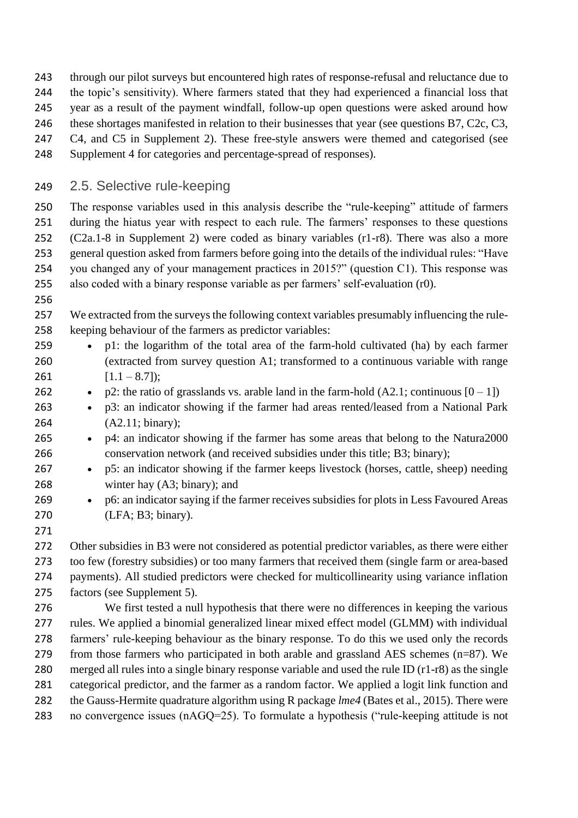- through our pilot surveys but encountered high rates of response-refusal and reluctance due to
- the topic's sensitivity). Where farmers stated that they had experienced a financial loss that
- year as a result of the payment windfall, follow-up open questions were asked around how
- 246 these shortages manifested in relation to their businesses that year (see questions B7, C2c, C3,
- C4, and C5 in Supplement 2). These free-style answers were themed and categorised (see
- Supplement 4 for categories and percentage-spread of responses).

# 2.5. Selective rule-keeping

 The response variables used in this analysis describe the "rule-keeping" attitude of farmers during the hiatus year with respect to each rule. The farmers' responses to these questions (C2a.1-8 in Supplement 2) were coded as binary variables (r1-r8). There was also a more general question asked from farmers before going into the details of the individual rules: "Have you changed any of your management practices in 2015?" (question C1). This response was also coded with a binary response variable as per farmers' self-evaluation (r0).

 We extracted from the surveys the following context variables presumably influencing the rule-keeping behaviour of the farmers as predictor variables:

- p1: the logarithm of the total area of the farm-hold cultivated (ha) by each farmer (extracted from survey question A1; transformed to a continuous variable with range 261  $[1.1 - 8.7]$ ;
- 262 p2: the ratio of grasslands vs. arable land in the farm-hold  $(A2.1;$  continuous  $[0 1]$ )
- p3: an indicator showing if the farmer had areas rented/leased from a National Park (A2.11; binary);
- p4: an indicator showing if the farmer has some areas that belong to the Natura2000 conservation network (and received subsidies under this title; B3; binary);
- p5: an indicator showing if the farmer keeps livestock (horses, cattle, sheep) needing winter hay (A3; binary); and
- p6: an indicator saying if the farmer receives subsidies for plots in Less Favoured Areas (LFA; B3; binary).
- 

 Other subsidies in B3 were not considered as potential predictor variables, as there were either too few (forestry subsidies) or too many farmers that received them (single farm or area-based payments). All studied predictors were checked for multicollinearity using variance inflation factors (see Supplement 5).

 We first tested a null hypothesis that there were no differences in keeping the various rules. We applied a binomial generalized linear mixed effect model (GLMM) with individual farmers' rule-keeping behaviour as the binary response. To do this we used only the records from those farmers who participated in both arable and grassland AES schemes (n=87). We merged all rules into a single binary response variable and used the rule ID (r1-r8) as the single categorical predictor, and the farmer as a random factor. We applied a logit link function and the Gauss-Hermite quadrature algorithm using R package *lme4* (Bates et al., 2015). There were 283 no convergence issues (nAGQ=25). To formulate a hypothesis ("rule-keeping attitude is not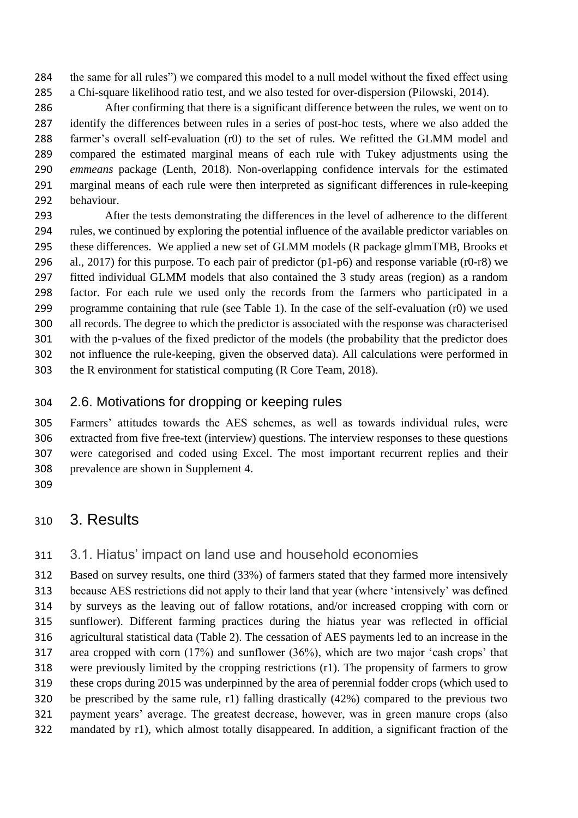the same for all rules") we compared this model to a null model without the fixed effect using a Chi-square likelihood ratio test, and we also tested for over-dispersion (Pilowski, 2014).

 After confirming that there is a significant difference between the rules, we went on to identify the differences between rules in a series of post-hoc tests, where we also added the farmer's overall self-evaluation (r0) to the set of rules. We refitted the GLMM model and compared the estimated marginal means of each rule with Tukey adjustments using the *emmeans* package (Lenth, 2018). Non-overlapping confidence intervals for the estimated marginal means of each rule were then interpreted as significant differences in rule-keeping behaviour.

 After the tests demonstrating the differences in the level of adherence to the different rules, we continued by exploring the potential influence of the available predictor variables on these differences. We applied a new set of GLMM models (R package glmmTMB, Brooks et al., 2017) for this purpose. To each pair of predictor (p1-p6) and response variable (r0-r8) we fitted individual GLMM models that also contained the 3 study areas (region) as a random factor. For each rule we used only the records from the farmers who participated in a programme containing that rule (see Table 1). In the case of the self-evaluation (r0) we used all records. The degree to which the predictor is associated with the response was characterised with the p-values of the fixed predictor of the models (the probability that the predictor does not influence the rule-keeping, given the observed data). All calculations were performed in the R environment for statistical computing (R Core Team, 2018).

## 2.6. Motivations for dropping or keeping rules

 Farmers' attitudes towards the AES schemes, as well as towards individual rules, were extracted from five free-text (interview) questions. The interview responses to these questions were categorised and coded using Excel. The most important recurrent replies and their prevalence are shown in Supplement 4.

# 3. Results

## 3.1. Hiatus' impact on land use and household economies

 Based on survey results, one third (33%) of farmers stated that they farmed more intensively because AES restrictions did not apply to their land that year (where 'intensively' was defined by surveys as the leaving out of fallow rotations, and/or increased cropping with corn or sunflower). Different farming practices during the hiatus year was reflected in official agricultural statistical data (Table 2). The cessation of AES payments led to an increase in the area cropped with corn (17%) and sunflower (36%), which are two major 'cash crops' that were previously limited by the cropping restrictions (r1). The propensity of farmers to grow these crops during 2015 was underpinned by the area of perennial fodder crops (which used to be prescribed by the same rule, r1) falling drastically (42%) compared to the previous two payment years' average. The greatest decrease, however, was in green manure crops (also mandated by r1), which almost totally disappeared. In addition, a significant fraction of the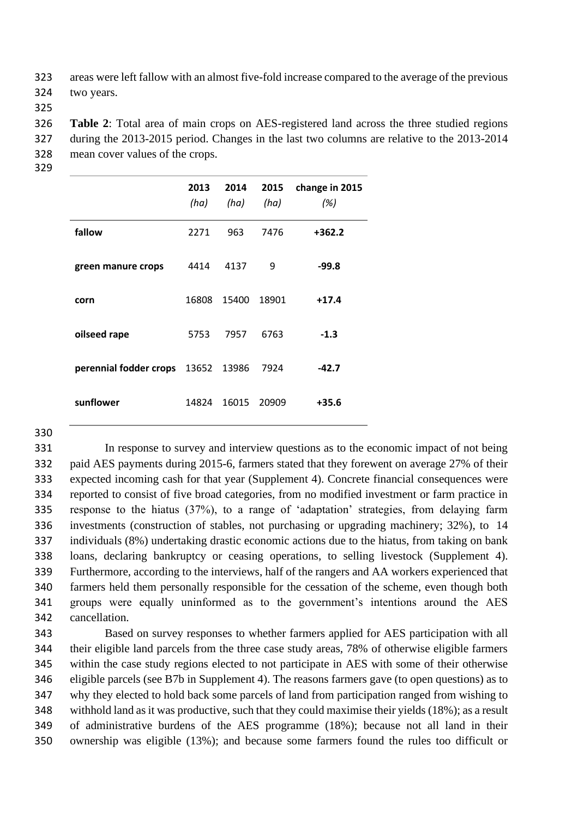areas were left fallow with an almost five-fold increase compared to the average of the previous two years.

 **Table 2**: Total area of main crops on AES-registered land across the three studied regions during the 2013-2015 period. Changes in the last two columns are relative to the 2013-2014 mean cover values of the crops.

|                              | 2013<br>(ha) | 2014<br>(ha) | 2015<br>(ha) | change in 2015<br>(%) |
|------------------------------|--------------|--------------|--------------|-----------------------|
| fallow                       | 2271         | 963          | 7476         | $+362.2$              |
| green manure crops           | 4414         | 4137         | 9            | $-99.8$               |
| corn                         | 16808        | 15400        | 18901        | $+17.4$               |
| oilseed rape                 | 5753         | 7957         | 6763         | $-1.3$                |
| perennial fodder crops 13652 |              | 13986        | 7924         | $-42.7$               |
| sunflower                    | 14824        | 16015        | 20909        | $+35.6$               |

 In response to survey and interview questions as to the economic impact of not being paid AES payments during 2015-6, farmers stated that they forewent on average 27% of their expected incoming cash for that year (Supplement 4). Concrete financial consequences were reported to consist of five broad categories, from no modified investment or farm practice in response to the hiatus (37%), to a range of 'adaptation' strategies, from delaying farm investments (construction of stables, not purchasing or upgrading machinery; 32%), to 14 individuals (8%) undertaking drastic economic actions due to the hiatus, from taking on bank loans, declaring bankruptcy or ceasing operations, to selling livestock (Supplement 4). Furthermore, according to the interviews, half of the rangers and AA workers experienced that farmers held them personally responsible for the cessation of the scheme, even though both groups were equally uninformed as to the government's intentions around the AES cancellation.

 Based on survey responses to whether farmers applied for AES participation with all their eligible land parcels from the three case study areas, 78% of otherwise eligible farmers within the case study regions elected to not participate in AES with some of their otherwise eligible parcels (see B7b in Supplement 4). The reasons farmers gave (to open questions) as to why they elected to hold back some parcels of land from participation ranged from wishing to withhold land as it was productive, such that they could maximise their yields (18%); as a result of administrative burdens of the AES programme (18%); because not all land in their ownership was eligible (13%); and because some farmers found the rules too difficult or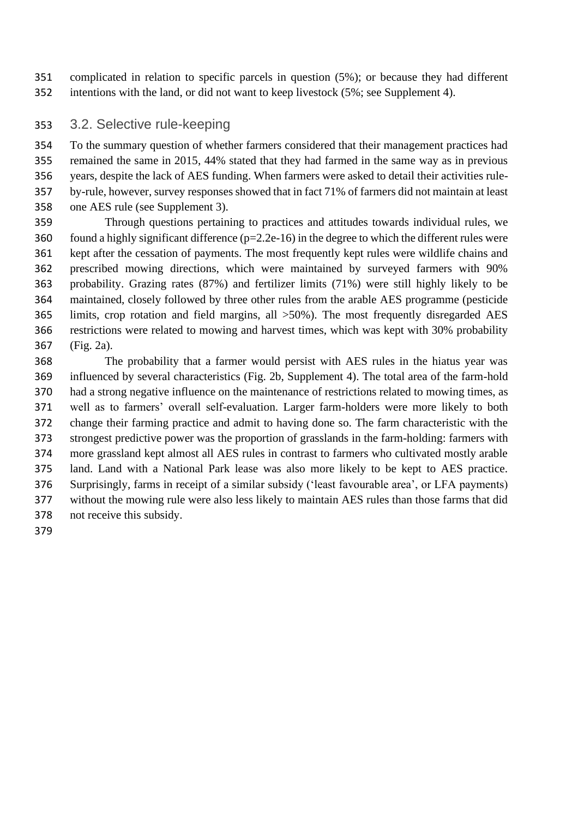complicated in relation to specific parcels in question (5%); or because they had different intentions with the land, or did not want to keep livestock (5%; see Supplement 4).

## 3.2. Selective rule-keeping

 To the summary question of whether farmers considered that their management practices had remained the same in 2015, 44% stated that they had farmed in the same way as in previous years, despite the lack of AES funding. When farmers were asked to detail their activities rule- by-rule, however, survey responses showed that in fact 71% of farmers did not maintain at least one AES rule (see Supplement 3).

 Through questions pertaining to practices and attitudes towards individual rules, we found a highly significant difference (p=2.2e-16) in the degree to which the different rules were kept after the cessation of payments. The most frequently kept rules were wildlife chains and prescribed mowing directions, which were maintained by surveyed farmers with 90% probability. Grazing rates (87%) and fertilizer limits (71%) were still highly likely to be maintained, closely followed by three other rules from the arable AES programme (pesticide limits, crop rotation and field margins, all >50%). The most frequently disregarded AES restrictions were related to mowing and harvest times, which was kept with 30% probability (Fig. 2a).

 The probability that a farmer would persist with AES rules in the hiatus year was influenced by several characteristics (Fig. 2b, Supplement 4). The total area of the farm-hold had a strong negative influence on the maintenance of restrictions related to mowing times, as well as to farmers' overall self-evaluation. Larger farm-holders were more likely to both change their farming practice and admit to having done so. The farm characteristic with the strongest predictive power was the proportion of grasslands in the farm-holding: farmers with more grassland kept almost all AES rules in contrast to farmers who cultivated mostly arable land. Land with a National Park lease was also more likely to be kept to AES practice. Surprisingly, farms in receipt of a similar subsidy ('least favourable area', or LFA payments) without the mowing rule were also less likely to maintain AES rules than those farms that did not receive this subsidy.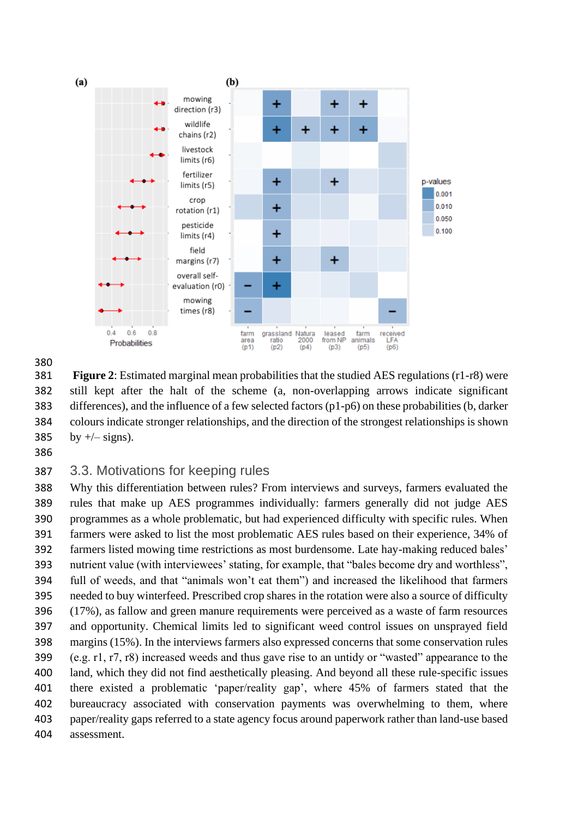



 **Figure 2**: Estimated marginal mean probabilities that the studied AES regulations (r1-r8) were still kept after the halt of the scheme (a, non-overlapping arrows indicate significant differences), and the influence of a few selected factors (p1-p6) on these probabilities (b, darker colours indicate stronger relationships, and the direction of the strongest relationships is shown 385 by  $+/-$  signs).

### 3.3. Motivations for keeping rules

 Why this differentiation between rules? From interviews and surveys, farmers evaluated the rules that make up AES programmes individually: farmers generally did not judge AES programmes as a whole problematic, but had experienced difficulty with specific rules. When farmers were asked to list the most problematic AES rules based on their experience, 34% of farmers listed mowing time restrictions as most burdensome. Late hay-making reduced bales' nutrient value (with interviewees' stating, for example, that "bales become dry and worthless", full of weeds, and that "animals won't eat them") and increased the likelihood that farmers needed to buy winterfeed. Prescribed crop shares in the rotation were also a source of difficulty (17%), as fallow and green manure requirements were perceived as a waste of farm resources and opportunity. Chemical limits led to significant weed control issues on unsprayed field margins (15%). In the interviews farmers also expressed concerns that some conservation rules (e.g. r1, r7, r8) increased weeds and thus gave rise to an untidy or "wasted" appearance to the land, which they did not find aesthetically pleasing. And beyond all these rule-specific issues there existed a problematic 'paper/reality gap', where 45% of farmers stated that the bureaucracy associated with conservation payments was overwhelming to them, where paper/reality gaps referred to a state agency focus around paperwork rather than land-use based assessment.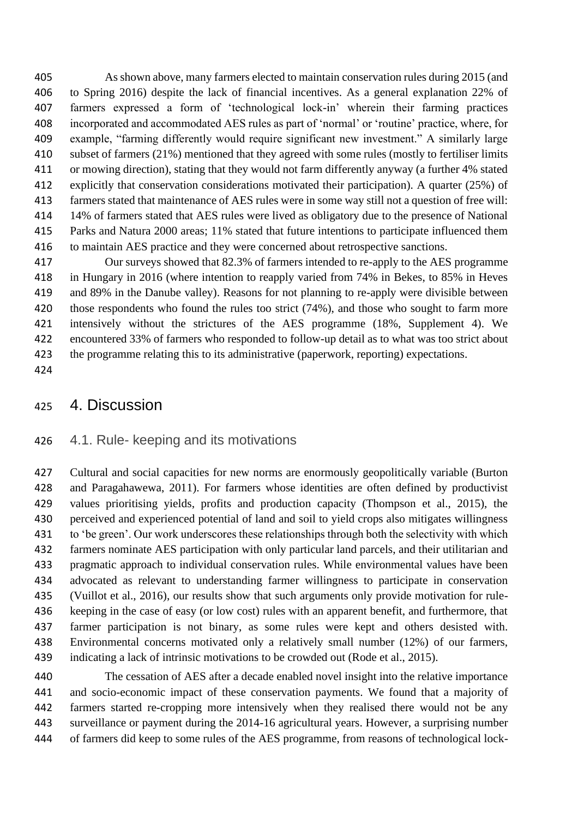As shown above, many farmers elected to maintain conservation rules during 2015 (and to Spring 2016) despite the lack of financial incentives. As a general explanation 22% of farmers expressed a form of 'technological lock-in' wherein their farming practices incorporated and accommodated AES rules as part of 'normal' or 'routine' practice, where, for example, "farming differently would require significant new investment." A similarly large subset of farmers (21%) mentioned that they agreed with some rules (mostly to fertiliser limits or mowing direction), stating that they would not farm differently anyway (a further 4% stated explicitly that conservation considerations motivated their participation). A quarter (25%) of farmers stated that maintenance of AES rules were in some way still not a question of free will: 14% of farmers stated that AES rules were lived as obligatory due to the presence of National Parks and Natura 2000 areas; 11% stated that future intentions to participate influenced them to maintain AES practice and they were concerned about retrospective sanctions.

 Our surveys showed that 82.3% of farmers intended to re-apply to the AES programme in Hungary in 2016 (where intention to reapply varied from 74% in Bekes, to 85% in Heves and 89% in the Danube valley). Reasons for not planning to re-apply were divisible between 420 those respondents who found the rules too strict (74%), and those who sought to farm more intensively without the strictures of the AES programme (18%, Supplement 4). We encountered 33% of farmers who responded to follow-up detail as to what was too strict about the programme relating this to its administrative (paperwork, reporting) expectations.

### 4. Discussion

#### 4.1. Rule- keeping and its motivations

 Cultural and social capacities for new norms are enormously geopolitically variable (Burton and Paragahawewa, 2011). For farmers whose identities are often defined by productivist values prioritising yields, profits and production capacity (Thompson et al., 2015), the perceived and experienced potential of land and soil to yield crops also mitigates willingness to 'be green'. Our work underscores these relationships through both the selectivity with which farmers nominate AES participation with only particular land parcels, and their utilitarian and pragmatic approach to individual conservation rules. While environmental values have been advocated as relevant to understanding farmer willingness to participate in conservation (Vuillot et al., 2016), our results show that such arguments only provide motivation for rule- keeping in the case of easy (or low cost) rules with an apparent benefit, and furthermore, that farmer participation is not binary, as some rules were kept and others desisted with. Environmental concerns motivated only a relatively small number (12%) of our farmers, indicating a lack of intrinsic motivations to be crowded out (Rode et al., 2015).

 The cessation of AES after a decade enabled novel insight into the relative importance and socio-economic impact of these conservation payments. We found that a majority of farmers started re-cropping more intensively when they realised there would not be any surveillance or payment during the 2014-16 agricultural years. However, a surprising number of farmers did keep to some rules of the AES programme, from reasons of technological lock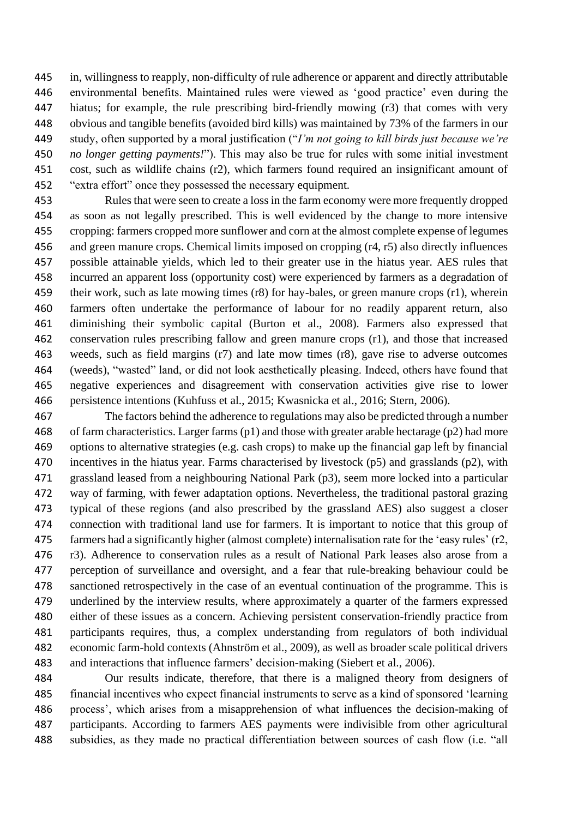in, willingness to reapply, non-difficulty of rule adherence or apparent and directly attributable environmental benefits. Maintained rules were viewed as 'good practice' even during the hiatus; for example, the rule prescribing bird-friendly mowing (r3) that comes with very obvious and tangible benefits (avoided bird kills) was maintained by 73% of the farmers in our study, often supported by a moral justification ("*I'm not going to kill birds just because we're no longer getting payments!*"). This may also be true for rules with some initial investment cost, such as wildlife chains (r2), which farmers found required an insignificant amount of "extra effort" once they possessed the necessary equipment.

 Rules that were seen to create a loss in the farm economy were more frequently dropped as soon as not legally prescribed. This is well evidenced by the change to more intensive cropping: farmers cropped more sunflower and corn at the almost complete expense of legumes and green manure crops. Chemical limits imposed on cropping (r4, r5) also directly influences possible attainable yields, which led to their greater use in the hiatus year. AES rules that incurred an apparent loss (opportunity cost) were experienced by farmers as a degradation of their work, such as late mowing times (r8) for hay-bales, or green manure crops (r1), wherein farmers often undertake the performance of labour for no readily apparent return, also diminishing their symbolic capital (Burton et al., 2008). Farmers also expressed that conservation rules prescribing fallow and green manure crops (r1), and those that increased weeds, such as field margins (r7) and late mow times (r8), gave rise to adverse outcomes (weeds), "wasted" land, or did not look aesthetically pleasing. Indeed, others have found that negative experiences and disagreement with conservation activities give rise to lower persistence intentions (Kuhfuss et al., 2015; Kwasnicka et al., 2016; Stern, 2006).

 The factors behind the adherence to regulations may also be predicted through a number of farm characteristics. Larger farms (p1) and those with greater arable hectarage (p2) had more options to alternative strategies (e.g. cash crops) to make up the financial gap left by financial incentives in the hiatus year. Farms characterised by livestock (p5) and grasslands (p2), with grassland leased from a neighbouring National Park (p3), seem more locked into a particular way of farming, with fewer adaptation options. Nevertheless, the traditional pastoral grazing typical of these regions (and also prescribed by the grassland AES) also suggest a closer connection with traditional land use for farmers. It is important to notice that this group of farmers had a significantly higher (almost complete) internalisation rate for the 'easy rules' (r2, r3). Adherence to conservation rules as a result of National Park leases also arose from a perception of surveillance and oversight, and a fear that rule-breaking behaviour could be sanctioned retrospectively in the case of an eventual continuation of the programme. This is underlined by the interview results, where approximately a quarter of the farmers expressed either of these issues as a concern. Achieving persistent conservation-friendly practice from participants requires, thus, a complex understanding from regulators of both individual economic farm-hold contexts (Ahnström et al., 2009), as well as broader scale political drivers and interactions that influence farmers' decision-making (Siebert et al., 2006).

 Our results indicate, therefore, that there is a maligned theory from designers of financial incentives who expect financial instruments to serve as a kind of sponsored 'learning process', which arises from a misapprehension of what influences the decision-making of participants. According to farmers AES payments were indivisible from other agricultural subsidies, as they made no practical differentiation between sources of cash flow (i.e. "all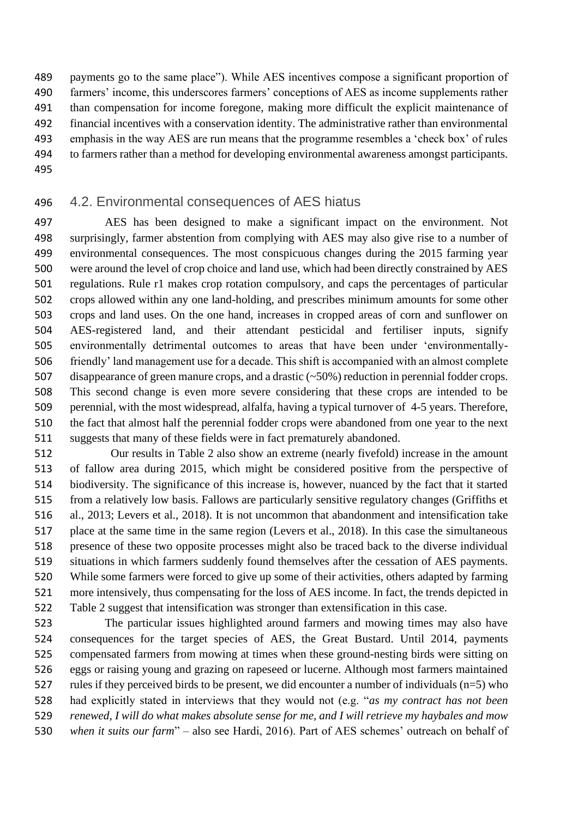payments go to the same place"). While AES incentives compose a significant proportion of farmers' income, this underscores farmers' conceptions of AES as income supplements rather than compensation for income foregone, making more difficult the explicit maintenance of financial incentives with a conservation identity. The administrative rather than environmental emphasis in the way AES are run means that the programme resembles a 'check box' of rules to farmers rather than a method for developing environmental awareness amongst participants. 

#### 4.2. Environmental consequences of AES hiatus

 AES has been designed to make a significant impact on the environment. Not surprisingly, farmer abstention from complying with AES may also give rise to a number of environmental consequences. The most conspicuous changes during the 2015 farming year were around the level of crop choice and land use, which had been directly constrained by AES regulations. Rule r1 makes crop rotation compulsory, and caps the percentages of particular crops allowed within any one land-holding, and prescribes minimum amounts for some other crops and land uses. On the one hand, increases in cropped areas of corn and sunflower on AES-registered land, and their attendant pesticidal and fertiliser inputs, signify environmentally detrimental outcomes to areas that have been under 'environmentally- friendly' land management use for a decade. This shift is accompanied with an almost complete disappearance of green manure crops, and a drastic (~50%) reduction in perennial fodder crops. This second change is even more severe considering that these crops are intended to be perennial, with the most widespread, alfalfa, having a typical turnover of 4-5 years. Therefore, the fact that almost half the perennial fodder crops were abandoned from one year to the next suggests that many of these fields were in fact prematurely abandoned.

 Our results in Table 2 also show an extreme (nearly fivefold) increase in the amount of fallow area during 2015, which might be considered positive from the perspective of biodiversity. The significance of this increase is, however, nuanced by the fact that it started from a relatively low basis. Fallows are particularly sensitive regulatory changes (Griffiths et al., 2013; Levers et al., 2018). It is not uncommon that abandonment and intensification take place at the same time in the same region (Levers et al., 2018). In this case the simultaneous presence of these two opposite processes might also be traced back to the diverse individual situations in which farmers suddenly found themselves after the cessation of AES payments. While some farmers were forced to give up some of their activities, others adapted by farming more intensively, thus compensating for the loss of AES income. In fact, the trends depicted in Table 2 suggest that intensification was stronger than extensification in this case.

 The particular issues highlighted around farmers and mowing times may also have consequences for the target species of AES, the Great Bustard. Until 2014, payments compensated farmers from mowing at times when these ground-nesting birds were sitting on eggs or raising young and grazing on rapeseed or lucerne. Although most farmers maintained 527 rules if they perceived birds to be present, we did encounter a number of individuals  $(n=5)$  who had explicitly stated in interviews that they would not (e.g. "*as my contract has not been renewed, I will do what makes absolute sense for me, and I will retrieve my haybales and mow when it suits our farm*" – also see Hardi, 2016). Part of AES schemes' outreach on behalf of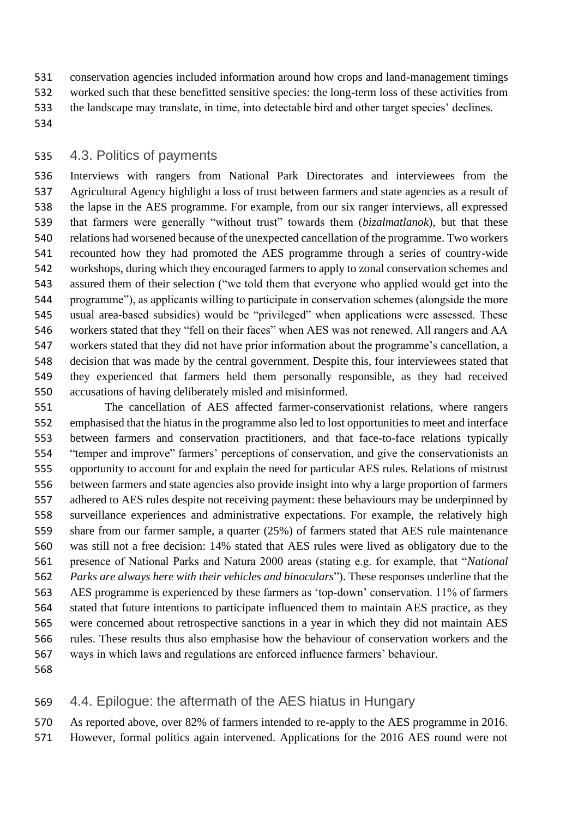conservation agencies included information around how crops and land-management timings worked such that these benefitted sensitive species: the long-term loss of these activities from the landscape may translate, in time, into detectable bird and other target species' declines.

### 4.3. Politics of payments

 Interviews with rangers from National Park Directorates and interviewees from the Agricultural Agency highlight a loss of trust between farmers and state agencies as a result of the lapse in the AES programme. For example, from our six ranger interviews, all expressed that farmers were generally "without trust" towards them (*bizalmatlanok*), but that these relations had worsened because of the unexpected cancellation of the programme. Two workers recounted how they had promoted the AES programme through a series of country-wide workshops, during which they encouraged farmers to apply to zonal conservation schemes and assured them of their selection ("we told them that everyone who applied would get into the programme"), as applicants willing to participate in conservation schemes (alongside the more usual area-based subsidies) would be "privileged" when applications were assessed. These workers stated that they "fell on their faces" when AES was not renewed. All rangers and AA workers stated that they did not have prior information about the programme's cancellation, a decision that was made by the central government. Despite this, four interviewees stated that they experienced that farmers held them personally responsible, as they had received accusations of having deliberately misled and misinformed.

 The cancellation of AES affected farmer-conservationist relations, where rangers emphasised that the hiatus in the programme also led to lost opportunities to meet and interface between farmers and conservation practitioners, and that face-to-face relations typically "temper and improve" farmers' perceptions of conservation, and give the conservationists an opportunity to account for and explain the need for particular AES rules. Relations of mistrust between farmers and state agencies also provide insight into why a large proportion of farmers adhered to AES rules despite not receiving payment: these behaviours may be underpinned by surveillance experiences and administrative expectations. For example, the relatively high share from our farmer sample, a quarter (25%) of farmers stated that AES rule maintenance was still not a free decision: 14% stated that AES rules were lived as obligatory due to the presence of National Parks and Natura 2000 areas (stating e.g. for example, that "*National Parks are always here with their vehicles and binoculars*"). These responses underline that the AES programme is experienced by these farmers as 'top-down' conservation. 11% of farmers stated that future intentions to participate influenced them to maintain AES practice, as they were concerned about retrospective sanctions in a year in which they did not maintain AES rules. These results thus also emphasise how the behaviour of conservation workers and the ways in which laws and regulations are enforced influence farmers' behaviour.

## 4.4. Epilogue: the aftermath of the AES hiatus in Hungary

 As reported above, over 82% of farmers intended to re-apply to the AES programme in 2016. However, formal politics again intervened. Applications for the 2016 AES round were not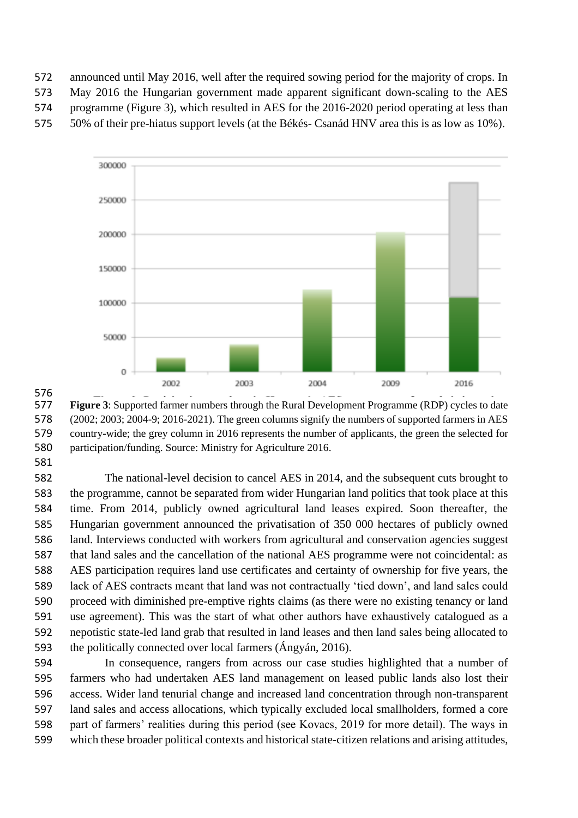announced until May 2016, well after the required sowing period for the majority of crops. In

May 2016 the Hungarian government made apparent significant down-scaling to the AES

programme (Figure 3), which resulted in AES for the 2016-2020 period operating at less than

50% of their pre-hiatus support levels (at the Békés- Csanád HNV area this is as low as 10%).



 **Figure 3**: Supported farmer numbers through the Rural Development Programme (RDP) cycles to date (2002; 2003; 2004-9; 2016-2021). The green columns signify the numbers of supported farmers in AES country-wide; the grey column in 2016 represents the number of applicants, the green the selected for participation/funding. Source: Ministry for Agriculture 2016.

 The national-level decision to cancel AES in 2014, and the subsequent cuts brought to the programme, cannot be separated from wider Hungarian land politics that took place at this time. From 2014, publicly owned agricultural land leases expired. Soon thereafter, the Hungarian government announced the privatisation of 350 000 hectares of publicly owned land. Interviews conducted with workers from agricultural and conservation agencies suggest that land sales and the cancellation of the national AES programme were not coincidental: as AES participation requires land use certificates and certainty of ownership for five years, the lack of AES contracts meant that land was not contractually 'tied down', and land sales could proceed with diminished pre-emptive rights claims (as there were no existing tenancy or land use agreement). This was the start of what other authors have exhaustively catalogued as a nepotistic state-led land grab that resulted in land leases and then land sales being allocated to the politically connected over local farmers (Ángyán, 2016).

 In consequence, rangers from across our case studies highlighted that a number of farmers who had undertaken AES land management on leased public lands also lost their access. Wider land tenurial change and increased land concentration through non-transparent land sales and access allocations, which typically excluded local smallholders, formed a core part of farmers' realities during this period (see Kovacs, 2019 for more detail). The ways in which these broader political contexts and historical state-citizen relations and arising attitudes,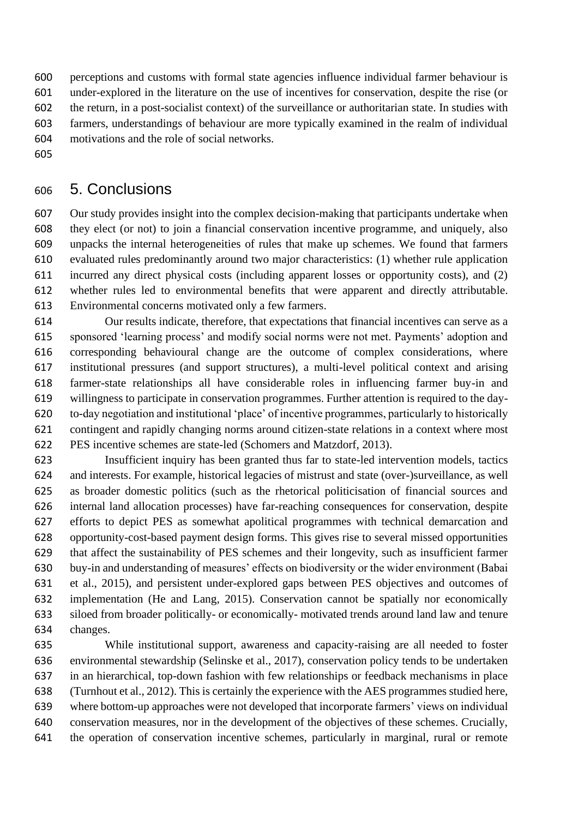perceptions and customs with formal state agencies influence individual farmer behaviour is under-explored in the literature on the use of incentives for conservation, despite the rise (or the return, in a post-socialist context) of the surveillance or authoritarian state. In studies with farmers, understandings of behaviour are more typically examined in the realm of individual motivations and the role of social networks.

# 5. Conclusions

 Our study provides insight into the complex decision-making that participants undertake when they elect (or not) to join a financial conservation incentive programme, and uniquely, also unpacks the internal heterogeneities of rules that make up schemes. We found that farmers evaluated rules predominantly around two major characteristics: (1) whether rule application incurred any direct physical costs (including apparent losses or opportunity costs), and (2) whether rules led to environmental benefits that were apparent and directly attributable. Environmental concerns motivated only a few farmers.

 Our results indicate, therefore, that expectations that financial incentives can serve as a sponsored 'learning process' and modify social norms were not met. Payments' adoption and corresponding behavioural change are the outcome of complex considerations, where institutional pressures (and support structures), a multi-level political context and arising farmer-state relationships all have considerable roles in influencing farmer buy-in and willingness to participate in conservation programmes. Further attention is required to the day- to-day negotiation and institutional 'place' of incentive programmes, particularly to historically contingent and rapidly changing norms around citizen-state relations in a context where most PES incentive schemes are state-led (Schomers and Matzdorf, 2013).

 Insufficient inquiry has been granted thus far to state-led intervention models, tactics and interests. For example, historical legacies of mistrust and state (over-)surveillance, as well as broader domestic politics (such as the rhetorical politicisation of financial sources and internal land allocation processes) have far-reaching consequences for conservation, despite efforts to depict PES as somewhat apolitical programmes with technical demarcation and opportunity-cost-based payment design forms. This gives rise to several missed opportunities that affect the sustainability of PES schemes and their longevity, such as insufficient farmer buy-in and understanding of measures' effects on biodiversity or the wider environment (Babai et al., 2015), and persistent under-explored gaps between PES objectives and outcomes of implementation (He and Lang, 2015). Conservation cannot be spatially nor economically siloed from broader politically- or economically- motivated trends around land law and tenure changes.

 While institutional support, awareness and capacity-raising are all needed to foster environmental stewardship (Selinske et al., 2017), conservation policy tends to be undertaken in an hierarchical, top-down fashion with few relationships or feedback mechanisms in place (Turnhout et al., 2012). This is certainly the experience with the AES programmes studied here, where bottom-up approaches were not developed that incorporate farmers' views on individual conservation measures, nor in the development of the objectives of these schemes. Crucially, the operation of conservation incentive schemes, particularly in marginal, rural or remote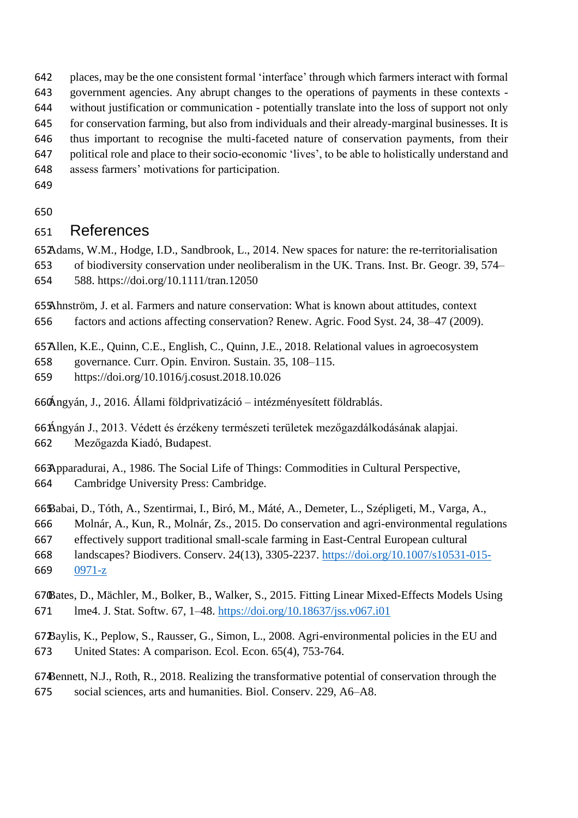places, may be the one consistent formal 'interface' through which farmers interact with formal

government agencies. Any abrupt changes to the operations of payments in these contexts -

without justification or communication - potentially translate into the loss of support not only

for conservation farming, but also from individuals and their already-marginal businesses. It is

thus important to recognise the multi-faceted nature of conservation payments, from their

- political role and place to their socio-economic 'lives', to be able to holistically understand and
- assess farmers' motivations for participation.
- 

# References

Adams, W.M., Hodge, I.D., Sandbrook, L., 2014. New spaces for nature: the re-territorialisation of biodiversity conservation under neoliberalism in the UK. Trans. Inst. Br. Geogr. 39, 574– 588. https://doi.org/10.1111/tran.12050

Ahnström, J. et al. Farmers and nature conservation: What is known about attitudes, context factors and actions affecting conservation? Renew. Agric. Food Syst. 24, 38–47 (2009).

Allen, K.E., Quinn, C.E., English, C., Quinn, J.E., 2018. Relational values in agroecosystem

governance. Curr. Opin. Environ. Sustain. 35, 108–115.

https://doi.org/10.1016/j.cosust.2018.10.026

Ángyán, J., 2016. Állami földprivatizáció – intézményesített földrablás.

Ángyán J., 2013. Védett és érzékeny természeti területek mezőgazdálkodásának alapjai. Mezőgazda Kiadó, Budapest.

Apparadurai, A., 1986. The Social Life of Things: Commodities in Cultural Perspective, Cambridge University Press: Cambridge.

Babai, D., Tóth, A., Szentirmai, I., Biró, M., Máté, A., Demeter, L., Szépligeti, M., Varga, A.,

Molnár, A., Kun, R., Molnár, Zs., 2015. Do conservation and agri-environmental regulations

effectively support traditional small-scale farming in East-Central European cultural

landscapes? Biodivers. Conserv. 24(13), 3305-2237. [https://doi.org/10.1007/s10531-015-](https://doi.org/10.1007/s10531-015-0971-z)

[0971-z](https://doi.org/10.1007/s10531-015-0971-z)

Bates, D., Mächler, M., Bolker, B., Walker, S., 2015. Fitting Linear Mixed-Effects Models Using lme4. J. Stat. Softw. 67, 1–48.<https://doi.org/10.18637/jss.v067.i01>

Baylis, K., Peplow, S., Rausser, G., Simon, L., 2008. Agri-environmental policies in the EU and United States: A comparison. Ecol. Econ. 65(4), 753-764.

Bennett, N.J., Roth, R., 2018. Realizing the transformative potential of conservation through the social sciences, arts and humanities. Biol. Conserv. 229, A6–A8.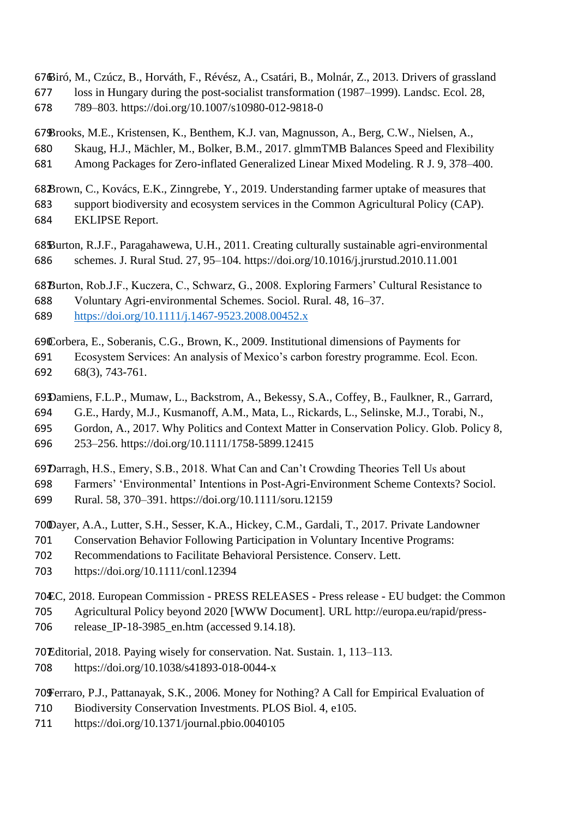Biró, M., Czúcz, B., Horváth, F., Révész, A., Csatári, B., Molnár, Z., 2013. Drivers of grassland loss in Hungary during the post-socialist transformation (1987–1999). Landsc. Ecol. 28,

789–803. https://doi.org/10.1007/s10980-012-9818-0

Brooks, M.E., Kristensen, K., Benthem, K.J. van, Magnusson, A., Berg, C.W., Nielsen, A., Skaug, H.J., Mächler, M., Bolker, B.M., 2017. glmmTMB Balances Speed and Flexibility Among Packages for Zero-inflated Generalized Linear Mixed Modeling. R J. 9, 378–400.

Brown, C., Kovács, E.K., Zinngrebe, Y., 2019. Understanding farmer uptake of measures that support biodiversity and ecosystem services in the Common Agricultural Policy (CAP). EKLIPSE Report.

Burton, R.J.F., Paragahawewa, U.H., 2011. Creating culturally sustainable agri-environmental schemes. J. Rural Stud. 27, 95–104. https://doi.org/10.1016/j.jrurstud.2010.11.001

Burton, Rob.J.F., Kuczera, C., Schwarz, G., 2008. Exploring Farmers' Cultural Resistance to Voluntary Agri-environmental Schemes. Sociol. Rural. 48, 16–37.

<https://doi.org/10.1111/j.1467-9523.2008.00452.x>

Corbera, E., Soberanis, C.G., Brown, K., 2009. Institutional dimensions of Payments for Ecosystem Services: An analysis of Mexico's carbon forestry programme. Ecol. Econ.

68(3), 743-761.

Damiens, F.L.P., Mumaw, L., Backstrom, A., Bekessy, S.A., Coffey, B., Faulkner, R., Garrard,

G.E., Hardy, M.J., Kusmanoff, A.M., Mata, L., Rickards, L., Selinske, M.J., Torabi, N.,

Gordon, A., 2017. Why Politics and Context Matter in Conservation Policy. Glob. Policy 8,

253–256. https://doi.org/10.1111/1758-5899.12415

Darragh, H.S., Emery, S.B., 2018. What Can and Can't Crowding Theories Tell Us about

Farmers' 'Environmental' Intentions in Post-Agri-Environment Scheme Contexts? Sociol.

Rural. 58, 370–391. https://doi.org/10.1111/soru.12159

Dayer, A.A., Lutter, S.H., Sesser, K.A., Hickey, C.M., Gardali, T., 2017. Private Landowner

Conservation Behavior Following Participation in Voluntary Incentive Programs:

Recommendations to Facilitate Behavioral Persistence. Conserv. Lett.

https://doi.org/10.1111/conl.12394

EC, 2018. European Commission - PRESS RELEASES - Press release - EU budget: the Common

Agricultural Policy beyond 2020 [WWW Document]. URL http://europa.eu/rapid/press-

release\_IP-18-3985\_en.htm (accessed 9.14.18).

Editorial, 2018. Paying wisely for conservation. Nat. Sustain. 1, 113–113. https://doi.org/10.1038/s41893-018-0044-x

Ferraro, P.J., Pattanayak, S.K., 2006. Money for Nothing? A Call for Empirical Evaluation of

- Biodiversity Conservation Investments. PLOS Biol. 4, e105.
- https://doi.org/10.1371/journal.pbio.0040105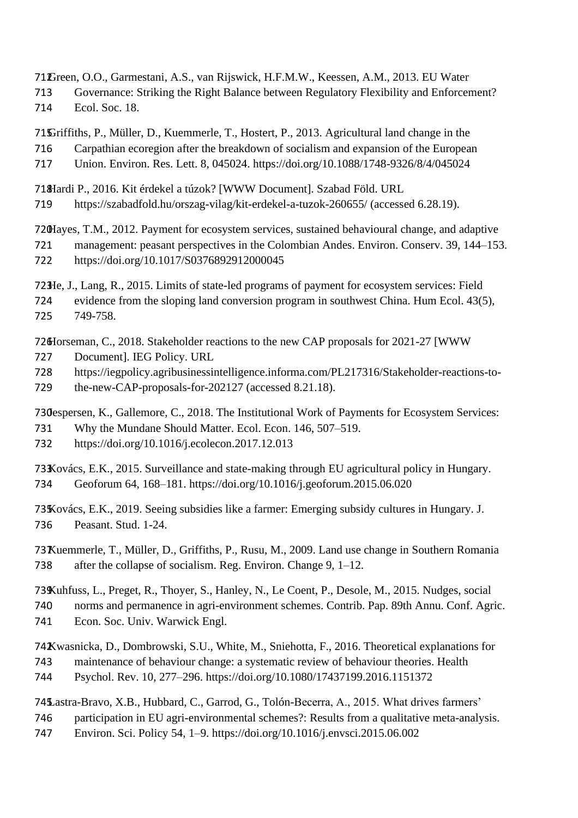Green, O.O., Garmestani, A.S., van Rijswick, H.F.M.W., Keessen, A.M., 2013. EU Water

 Governance: Striking the Right Balance between Regulatory Flexibility and Enforcement? Ecol. Soc. 18.

Griffiths, P., Müller, D., Kuemmerle, T., Hostert, P., 2013. Agricultural land change in the Carpathian ecoregion after the breakdown of socialism and expansion of the European

Union. Environ. Res. Lett. 8, 045024. https://doi.org/10.1088/1748-9326/8/4/045024

Hardi P., 2016. Kit érdekel a túzok? [WWW Document]. Szabad Föld. URL

https://szabadfold.hu/orszag-vilag/kit-erdekel-a-tuzok-260655/ (accessed 6.28.19).

Hayes, T.M., 2012. Payment for ecosystem services, sustained behavioural change, and adaptive

 management: peasant perspectives in the Colombian Andes. Environ. Conserv. 39, 144–153. https://doi.org/10.1017/S0376892912000045

He, J., Lang, R., 2015. Limits of state-led programs of payment for ecosystem services: Field

 evidence from the sloping land conversion program in southwest China. Hum Ecol. 43(5), 749-758.

Horseman, C., 2018. Stakeholder reactions to the new CAP proposals for 2021-27 [WWW

- Document]. IEG Policy. URL
- https://iegpolicy.agribusinessintelligence.informa.com/PL217316/Stakeholder-reactions-to-
- 729 the-new-CAP-proposals-for-202127 (accessed 8.21.18).

730espersen, K., Gallemore, C., 2018. The Institutional Work of Payments for Ecosystem Services:

- Why the Mundane Should Matter. Ecol. Econ. 146, 507–519.
- https://doi.org/10.1016/j.ecolecon.2017.12.013

Kovács, E.K., 2015. Surveillance and state-making through EU agricultural policy in Hungary. Geoforum 64, 168–181. https://doi.org/10.1016/j.geoforum.2015.06.020

Kovács, E.K., 2019. Seeing subsidies like a farmer: Emerging subsidy cultures in Hungary. J. Peasant. Stud. 1-24.

Kuemmerle, T., Müller, D., Griffiths, P., Rusu, M., 2009. Land use change in Southern Romania after the collapse of socialism. Reg. Environ. Change 9, 1–12.

Kuhfuss, L., Preget, R., Thoyer, S., Hanley, N., Le Coent, P., Desole, M., 2015. Nudges, social

- norms and permanence in agri-environment schemes. Contrib. Pap. 89th Annu. Conf. Agric.
- Econ. Soc. Univ. Warwick Engl.

Kwasnicka, D., Dombrowski, S.U., White, M., Sniehotta, F., 2016. Theoretical explanations for

- maintenance of behaviour change: a systematic review of behaviour theories. Health Psychol. Rev. 10, 277–296. https://doi.org/10.1080/17437199.2016.1151372
- 

Lastra-Bravo, X.B., Hubbard, C., Garrod, G., Tolón-Becerra, A., 2015. What drives farmers'

- participation in EU agri-environmental schemes?: Results from a qualitative meta-analysis.
- Environ. Sci. Policy 54, 1–9. https://doi.org/10.1016/j.envsci.2015.06.002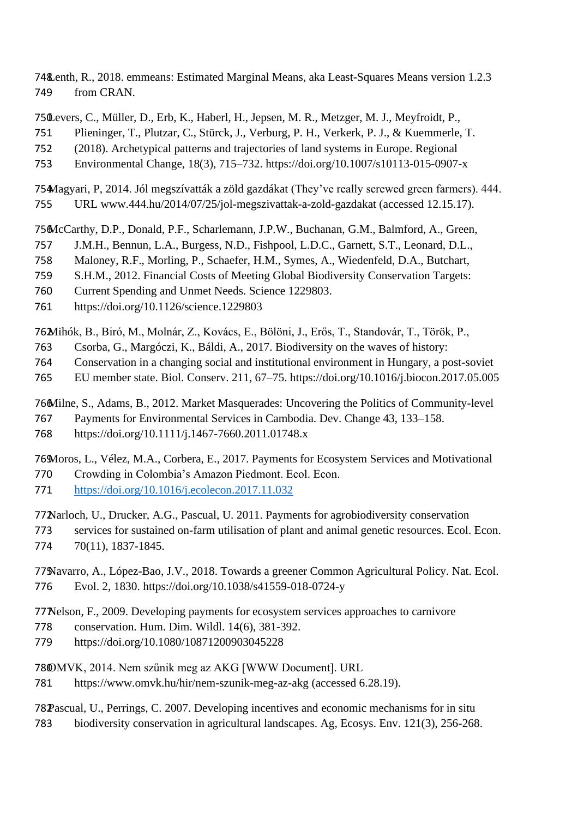Lenth, R., 2018. emmeans: Estimated Marginal Means, aka Least-Squares Means version 1.2.3 from CRAN.

Levers, C., Müller, D., Erb, K., Haberl, H., Jepsen, M. R., Metzger, M. J., Meyfroidt, P.,

Plieninger, T., Plutzar, C., Stürck, J., Verburg, P. H., Verkerk, P. J., & Kuemmerle, T.

(2018). Archetypical patterns and trajectories of land systems in Europe. Regional

Environmental Change, 18(3), 715–732. https://doi.org/10.1007/s10113-015-0907-x

Magyari, P, 2014. Jól megszívatták a zöld gazdákat (They've really screwed green farmers). 444. URL www.444.hu/2014/07/25/jol-megszivattak-a-zold-gazdakat (accessed 12.15.17).

McCarthy, D.P., Donald, P.F., Scharlemann, J.P.W., Buchanan, G.M., Balmford, A., Green,

J.M.H., Bennun, L.A., Burgess, N.D., Fishpool, L.D.C., Garnett, S.T., Leonard, D.L.,

Maloney, R.F., Morling, P., Schaefer, H.M., Symes, A., Wiedenfeld, D.A., Butchart,

S.H.M., 2012. Financial Costs of Meeting Global Biodiversity Conservation Targets:

Current Spending and Unmet Needs. Science 1229803.

https://doi.org/10.1126/science.1229803

Mihók, B., Biró, M., Molnár, Z., Kovács, E., Bölöni, J., Erős, T., Standovár, T., Török, P.,

Csorba, G., Margóczi, K., Báldi, A., 2017. Biodiversity on the waves of history:

Conservation in a changing social and institutional environment in Hungary, a post-soviet

EU member state. Biol. Conserv. 211, 67–75. https://doi.org/10.1016/j.biocon.2017.05.005

Milne, S., Adams, B., 2012. Market Masquerades: Uncovering the Politics of Community-level

Payments for Environmental Services in Cambodia. Dev. Change 43, 133–158.

https://doi.org/10.1111/j.1467-7660.2011.01748.x

Moros, L., Vélez, M.A., Corbera, E., 2017. Payments for Ecosystem Services and Motivational

Crowding in Colombia's Amazon Piedmont. Ecol. Econ.

<https://doi.org/10.1016/j.ecolecon.2017.11.032>

Narloch, U., Drucker, A.G., Pascual, U. 2011. Payments for agrobiodiversity conservation

 services for sustained on-farm utilisation of plant and animal genetic resources. Ecol. Econ. 70(11), 1837-1845.

Navarro, A., López-Bao, J.V., 2018. Towards a greener Common Agricultural Policy. Nat. Ecol. Evol. 2, 1830. https://doi.org/10.1038/s41559-018-0724-y

Nelson, F., 2009. Developing payments for ecosystem services approaches to carnivore

conservation. Hum. Dim. Wildl. 14(6), 381-392.

https://doi.org/10.1080/10871200903045228

OMVK, 2014. Nem szűnik meg az AKG [WWW Document]. URL

https://www.omvk.hu/hir/nem-szunik-meg-az-akg (accessed 6.28.19).

Pascual, U., Perrings, C. 2007. Developing incentives and economic mechanisms for in situ biodiversity conservation in agricultural landscapes. Ag, Ecosys. Env. 121(3), 256-268.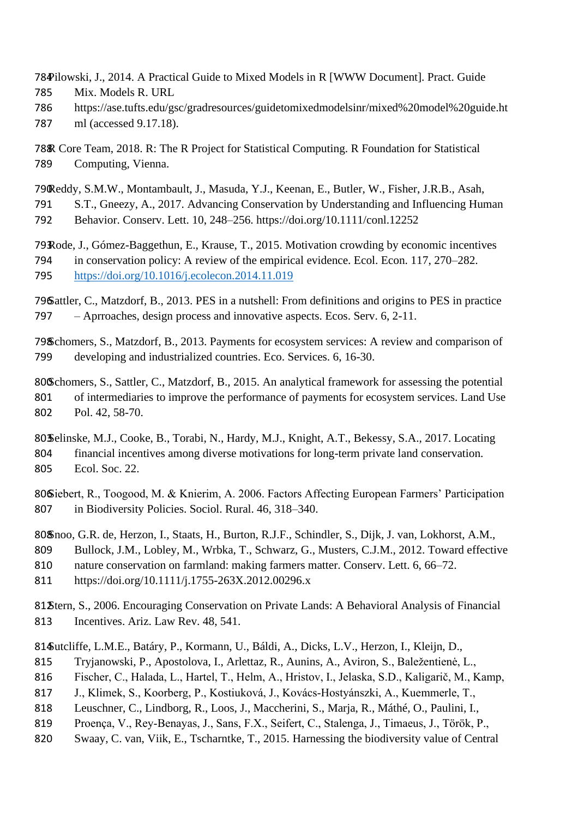Pilowski, J., 2014. A Practical Guide to Mixed Models in R [WWW Document]. Pract. Guide Mix. Models R. URL

- https://ase.tufts.edu/gsc/gradresources/guidetomixedmodelsinr/mixed%20model%20guide.ht
- ml (accessed 9.17.18).

R Core Team, 2018. R: The R Project for Statistical Computing. R Foundation for Statistical Computing, Vienna.

Reddy, S.M.W., Montambault, J., Masuda, Y.J., Keenan, E., Butler, W., Fisher, J.R.B., Asah,

S.T., Gneezy, A., 2017. Advancing Conservation by Understanding and Influencing Human

Behavior. Conserv. Lett. 10, 248–256. https://doi.org/10.1111/conl.12252

Rode, J., Gómez-Baggethun, E., Krause, T., 2015. Motivation crowding by economic incentives in conservation policy: A review of the empirical evidence. Ecol. Econ. 117, 270–282. <https://doi.org/10.1016/j.ecolecon.2014.11.019>

Sattler, C., Matzdorf, B., 2013. PES in a nutshell: From definitions and origins to PES in practice – Aprroaches, design process and innovative aspects. Ecos. Serv. 6, 2-11.

Schomers, S., Matzdorf, B., 2013. Payments for ecosystem services: A review and comparison of developing and industrialized countries. Eco. Services. 6, 16-30.

Schomers, S., Sattler, C., Matzdorf, B., 2015. An analytical framework for assessing the potential 801 of intermediaries to improve the performance of payments for ecosystem services. Land Use Pol. 42, 58-70.

80 $\delta$ elinske, M.J., Cooke, B., Torabi, N., Hardy, M.J., Knight, A.T., Bekessy, S.A., 2017. Locating financial incentives among diverse motivations for long-term private land conservation. Ecol. Soc. 22.

806Siebert, R., Toogood, M. & Knierim, A. 2006. Factors Affecting European Farmers' Participation in Biodiversity Policies. Sociol. Rural. 46, 318–340.

Snoo, G.R. de, Herzon, I., Staats, H., Burton, R.J.F., Schindler, S., Dijk, J. van, Lokhorst, A.M.,

Bullock, J.M., Lobley, M., Wrbka, T., Schwarz, G., Musters, C.J.M., 2012. Toward effective

- nature conservation on farmland: making farmers matter. Conserv. Lett. 6, 66–72.
- https://doi.org/10.1111/j.1755-263X.2012.00296.x

Stern, S., 2006. Encouraging Conservation on Private Lands: A Behavioral Analysis of Financial Incentives. Ariz. Law Rev. 48, 541.

Sutcliffe, L.M.E., Batáry, P., Kormann, U., Báldi, A., Dicks, L.V., Herzon, I., Kleijn, D.,

- Tryjanowski, P., Apostolova, I., Arlettaz, R., Aunins, A., Aviron, S., Baležentienė, L.,
- Fischer, C., Halada, L., Hartel, T., Helm, A., Hristov, I., Jelaska, S.D., Kaligarič, M., Kamp,
- J., Klimek, S., Koorberg, P., Kostiuková, J., Kovács‐Hostyánszki, A., Kuemmerle, T.,
- Leuschner, C., Lindborg, R., Loos, J., Maccherini, S., Marja, R., Máthé, O., Paulini, I.,
- Proença, V., Rey‐Benayas, J., Sans, F.X., Seifert, C., Stalenga, J., Timaeus, J., Török, P.,
- Swaay, C. van, Viik, E., Tscharntke, T., 2015. Harnessing the biodiversity value of Central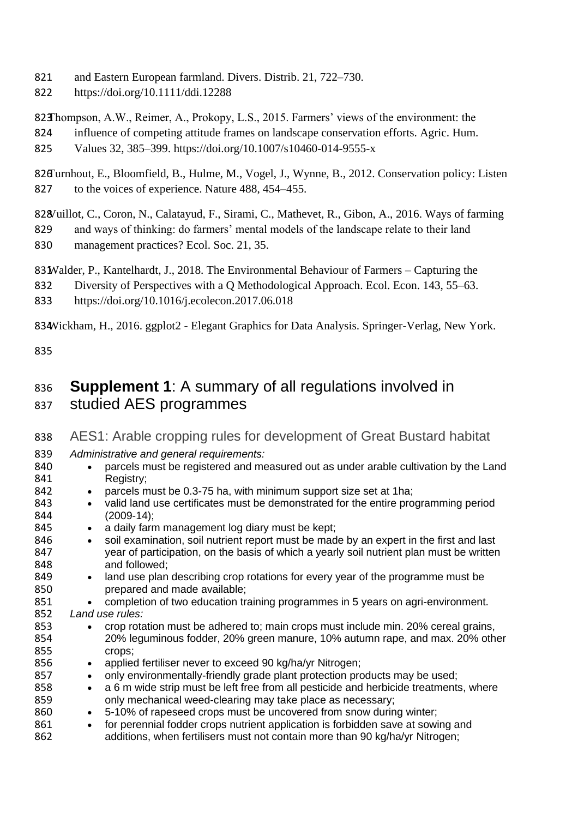- 821 and Eastern European farmland. Divers. Distrib. 21, 722–730.
- 822 https://doi.org/10.1111/ddi.12288

823Thompson, A.W., Reimer, A., Prokopy, L.S., 2015. Farmers' views of the environment: the

824 influence of competing attitude frames on landscape conservation efforts. Agric. Hum. 825 Values 32, 385–399. https://doi.org/10.1007/s10460-014-9555-x

826Turnhout, E., Bloomfield, B., Hulme, M., Vogel, J., Wynne, B., 2012. Conservation policy: Listen 827 to the voices of experience. Nature 488, 454–455.

828Vuillot, C., Coron, N., Calatayud, F., Sirami, C., Mathevet, R., Gibon, A., 2016. Ways of farming

829 and ways of thinking: do farmers' mental models of the landscape relate to their land 830 management practices? Ecol. Soc. 21, 35.

83 Walder, P., Kantelhardt, J., 2018. The Environmental Behaviour of Farmers – Capturing the

832 Diversity of Perspectives with a Q Methodological Approach. Ecol. Econ. 143, 55–63.

833 https://doi.org/10.1016/j.ecolecon.2017.06.018

834Wickham, H., 2016. ggplot2 - Elegant Graphics for Data Analysis. Springer-Verlag, New York.

835

# 836 **Supplement 1**: A summary of all regulations involved in 837 studied AES programmes

#### 838 AES1: Arable cropping rules for development of Great Bustard habitat 839 *Administrative and general requirements:* 840 • parcels must be registered and measured out as under arable cultivation by the Land<br>841 **• Registry:** Registry; 842 • parcels must be 0.3-75 ha, with minimum support size set at 1ha; 843 • valid land use certificates must be demonstrated for the entire programming period 844 (2009-14); 844 (2009-14);<br>845 • a daily farn 845 • a daily farm management log diary must be kept;<br>846 • soil examination, soil nutrient report must be mad 846 • soil examination, soil nutrient report must be made by an expert in the first and last<br>847 vear of participation, on the basis of which a yearly soil nutrient plan must be writter year of participation, on the basis of which a yearly soil nutrient plan must be written 848 and followed;<br>849 • land use plan 849 • land use plan describing crop rotations for every year of the programme must be programme must be associated and made available: prepared and made available; 851 • completion of two education training programmes in 5 years on agri-environment.<br>852 Land use rules: Land use rules: 853 • crop rotation must be adhered to; main crops must include min. 20% cereal grains, 854 20% leguminous fodder, 20% green manure, 10% autumn rape, and max. 20% other 855 crops; 856 • applied fertiliser never to exceed 90 kg/ha/yr Nitrogen;<br>857 • only environmentally-friendly grade plant protection pro 857 • only environmentally-friendly grade plant protection products may be used;<br>858 • a 6 m wide strip must be left free from all pesticide and herbicide treatments • a 6 m wide strip must be left free from all pesticide and herbicide treatments, where 859 only mechanical weed-clearing may take place as necessary; 860 • 5-10% of rapeseed crops must be uncovered from snow during winter;<br>861 • for perennial fodder crops nutrient application is forbidden save at sowi 861 • for perennial fodder crops nutrient application is forbidden save at sowing and 862 additions, when fertilisers must not contain more than 90 kg/ha/yr Nitrogen;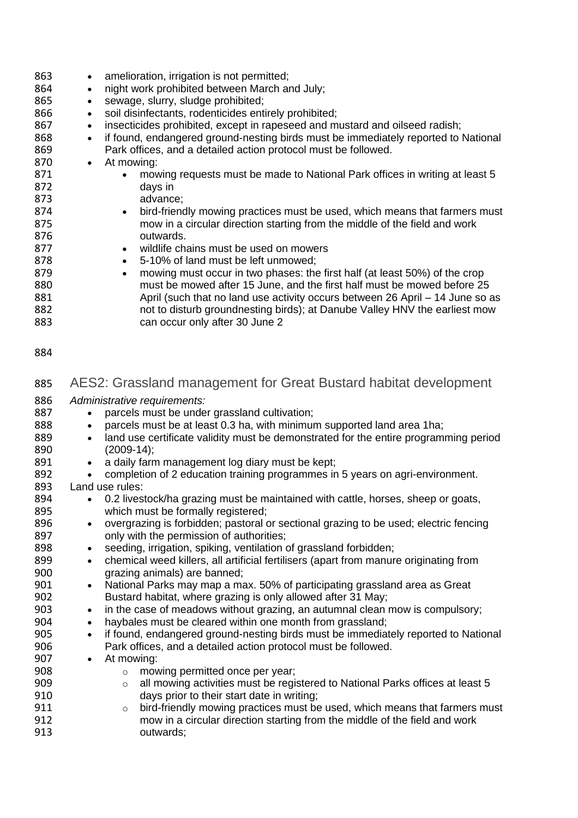| 863<br>864<br>865<br>866<br>867<br>868<br>869<br>870<br>871<br>872<br>873<br>874<br>875<br>876<br>877<br>878<br>879<br>880<br>881<br>882<br>883 | amelioration, irrigation is not permitted;<br>$\bullet$<br>night work prohibited between March and July;<br>$\bullet$<br>sewage, slurry, sludge prohibited;<br>$\bullet$<br>soil disinfectants, rodenticides entirely prohibited;<br>$\bullet$<br>insecticides prohibited, except in rapeseed and mustard and oilseed radish;<br>$\bullet$<br>if found, endangered ground-nesting birds must be immediately reported to National<br>$\bullet$<br>Park offices, and a detailed action protocol must be followed.<br>At mowing:<br>$\bullet$<br>mowing requests must be made to National Park offices in writing at least 5<br>days in<br>advance;<br>bird-friendly mowing practices must be used, which means that farmers must<br>$\bullet$<br>mow in a circular direction starting from the middle of the field and work<br>outwards.<br>wildlife chains must be used on mowers<br>$\bullet$<br>5-10% of land must be left unmowed;<br>$\bullet$<br>mowing must occur in two phases: the first half (at least 50%) of the crop<br>$\bullet$<br>must be mowed after 15 June, and the first half must be mowed before 25<br>April (such that no land use activity occurs between 26 April - 14 June so as<br>not to disturb groundnesting birds); at Danube Valley HNV the earliest mow<br>can occur only after 30 June 2 |
|-------------------------------------------------------------------------------------------------------------------------------------------------|--------------------------------------------------------------------------------------------------------------------------------------------------------------------------------------------------------------------------------------------------------------------------------------------------------------------------------------------------------------------------------------------------------------------------------------------------------------------------------------------------------------------------------------------------------------------------------------------------------------------------------------------------------------------------------------------------------------------------------------------------------------------------------------------------------------------------------------------------------------------------------------------------------------------------------------------------------------------------------------------------------------------------------------------------------------------------------------------------------------------------------------------------------------------------------------------------------------------------------------------------------------------------------------------------------------------------|
| 884                                                                                                                                             |                                                                                                                                                                                                                                                                                                                                                                                                                                                                                                                                                                                                                                                                                                                                                                                                                                                                                                                                                                                                                                                                                                                                                                                                                                                                                                                          |
| 885                                                                                                                                             | AES2: Grassland management for Great Bustard habitat development                                                                                                                                                                                                                                                                                                                                                                                                                                                                                                                                                                                                                                                                                                                                                                                                                                                                                                                                                                                                                                                                                                                                                                                                                                                         |
| 886                                                                                                                                             | Administrative requirements:                                                                                                                                                                                                                                                                                                                                                                                                                                                                                                                                                                                                                                                                                                                                                                                                                                                                                                                                                                                                                                                                                                                                                                                                                                                                                             |
| 887                                                                                                                                             | parcels must be under grassland cultivation;<br>$\bullet$                                                                                                                                                                                                                                                                                                                                                                                                                                                                                                                                                                                                                                                                                                                                                                                                                                                                                                                                                                                                                                                                                                                                                                                                                                                                |
| 888                                                                                                                                             | parcels must be at least 0.3 ha, with minimum supported land area 1 ha;                                                                                                                                                                                                                                                                                                                                                                                                                                                                                                                                                                                                                                                                                                                                                                                                                                                                                                                                                                                                                                                                                                                                                                                                                                                  |
| 889                                                                                                                                             | land use certificate validity must be demonstrated for the entire programming period                                                                                                                                                                                                                                                                                                                                                                                                                                                                                                                                                                                                                                                                                                                                                                                                                                                                                                                                                                                                                                                                                                                                                                                                                                     |
| 890                                                                                                                                             | $(2009-14);$                                                                                                                                                                                                                                                                                                                                                                                                                                                                                                                                                                                                                                                                                                                                                                                                                                                                                                                                                                                                                                                                                                                                                                                                                                                                                                             |
| 891                                                                                                                                             | a daily farm management log diary must be kept;<br>$\bullet$                                                                                                                                                                                                                                                                                                                                                                                                                                                                                                                                                                                                                                                                                                                                                                                                                                                                                                                                                                                                                                                                                                                                                                                                                                                             |
| 892                                                                                                                                             | completion of 2 education training programmes in 5 years on agri-environment.                                                                                                                                                                                                                                                                                                                                                                                                                                                                                                                                                                                                                                                                                                                                                                                                                                                                                                                                                                                                                                                                                                                                                                                                                                            |
| 893                                                                                                                                             | Land use rules:                                                                                                                                                                                                                                                                                                                                                                                                                                                                                                                                                                                                                                                                                                                                                                                                                                                                                                                                                                                                                                                                                                                                                                                                                                                                                                          |
| 894                                                                                                                                             | 0.2 livestock/ha grazing must be maintained with cattle, horses, sheep or goats,                                                                                                                                                                                                                                                                                                                                                                                                                                                                                                                                                                                                                                                                                                                                                                                                                                                                                                                                                                                                                                                                                                                                                                                                                                         |
| 895<br>896                                                                                                                                      | which must be formally registered;<br>overgrazing is forbidden; pastoral or sectional grazing to be used; electric fencing<br>$\bullet$                                                                                                                                                                                                                                                                                                                                                                                                                                                                                                                                                                                                                                                                                                                                                                                                                                                                                                                                                                                                                                                                                                                                                                                  |
| 897                                                                                                                                             | only with the permission of authorities;                                                                                                                                                                                                                                                                                                                                                                                                                                                                                                                                                                                                                                                                                                                                                                                                                                                                                                                                                                                                                                                                                                                                                                                                                                                                                 |
| 898                                                                                                                                             | seeding, irrigation, spiking, ventilation of grassland forbidden;                                                                                                                                                                                                                                                                                                                                                                                                                                                                                                                                                                                                                                                                                                                                                                                                                                                                                                                                                                                                                                                                                                                                                                                                                                                        |
| 899                                                                                                                                             | chemical weed killers, all artificial fertilisers (apart from manure originating from<br>$\bullet$                                                                                                                                                                                                                                                                                                                                                                                                                                                                                                                                                                                                                                                                                                                                                                                                                                                                                                                                                                                                                                                                                                                                                                                                                       |
| 900                                                                                                                                             | grazing animals) are banned;                                                                                                                                                                                                                                                                                                                                                                                                                                                                                                                                                                                                                                                                                                                                                                                                                                                                                                                                                                                                                                                                                                                                                                                                                                                                                             |
| 901                                                                                                                                             | National Parks may map a max. 50% of participating grassland area as Great<br>$\bullet$                                                                                                                                                                                                                                                                                                                                                                                                                                                                                                                                                                                                                                                                                                                                                                                                                                                                                                                                                                                                                                                                                                                                                                                                                                  |
| 902                                                                                                                                             | Bustard habitat, where grazing is only allowed after 31 May;                                                                                                                                                                                                                                                                                                                                                                                                                                                                                                                                                                                                                                                                                                                                                                                                                                                                                                                                                                                                                                                                                                                                                                                                                                                             |
| 903                                                                                                                                             | in the case of meadows without grazing, an autumnal clean mow is compulsory;<br>$\bullet$                                                                                                                                                                                                                                                                                                                                                                                                                                                                                                                                                                                                                                                                                                                                                                                                                                                                                                                                                                                                                                                                                                                                                                                                                                |
| 904                                                                                                                                             | haybales must be cleared within one month from grassland;<br>$\bullet$                                                                                                                                                                                                                                                                                                                                                                                                                                                                                                                                                                                                                                                                                                                                                                                                                                                                                                                                                                                                                                                                                                                                                                                                                                                   |
| 905                                                                                                                                             | if found, endangered ground-nesting birds must be immediately reported to National<br>$\bullet$                                                                                                                                                                                                                                                                                                                                                                                                                                                                                                                                                                                                                                                                                                                                                                                                                                                                                                                                                                                                                                                                                                                                                                                                                          |
| 906                                                                                                                                             | Park offices, and a detailed action protocol must be followed.                                                                                                                                                                                                                                                                                                                                                                                                                                                                                                                                                                                                                                                                                                                                                                                                                                                                                                                                                                                                                                                                                                                                                                                                                                                           |
| 907                                                                                                                                             | At mowing:<br>$\bullet$                                                                                                                                                                                                                                                                                                                                                                                                                                                                                                                                                                                                                                                                                                                                                                                                                                                                                                                                                                                                                                                                                                                                                                                                                                                                                                  |
| 908<br>909                                                                                                                                      | mowing permitted once per year;<br>$\circ$<br>all mowing activities must be registered to National Parks offices at least 5                                                                                                                                                                                                                                                                                                                                                                                                                                                                                                                                                                                                                                                                                                                                                                                                                                                                                                                                                                                                                                                                                                                                                                                              |
| 910                                                                                                                                             | $\circ$<br>days prior to their start date in writing;                                                                                                                                                                                                                                                                                                                                                                                                                                                                                                                                                                                                                                                                                                                                                                                                                                                                                                                                                                                                                                                                                                                                                                                                                                                                    |
| 911                                                                                                                                             | bird-friendly mowing practices must be used, which means that farmers must<br>$\circ$                                                                                                                                                                                                                                                                                                                                                                                                                                                                                                                                                                                                                                                                                                                                                                                                                                                                                                                                                                                                                                                                                                                                                                                                                                    |
| 912                                                                                                                                             | mow in a circular direction starting from the middle of the field and work                                                                                                                                                                                                                                                                                                                                                                                                                                                                                                                                                                                                                                                                                                                                                                                                                                                                                                                                                                                                                                                                                                                                                                                                                                               |
| 913                                                                                                                                             | outwards;                                                                                                                                                                                                                                                                                                                                                                                                                                                                                                                                                                                                                                                                                                                                                                                                                                                                                                                                                                                                                                                                                                                                                                                                                                                                                                                |
|                                                                                                                                                 |                                                                                                                                                                                                                                                                                                                                                                                                                                                                                                                                                                                                                                                                                                                                                                                                                                                                                                                                                                                                                                                                                                                                                                                                                                                                                                                          |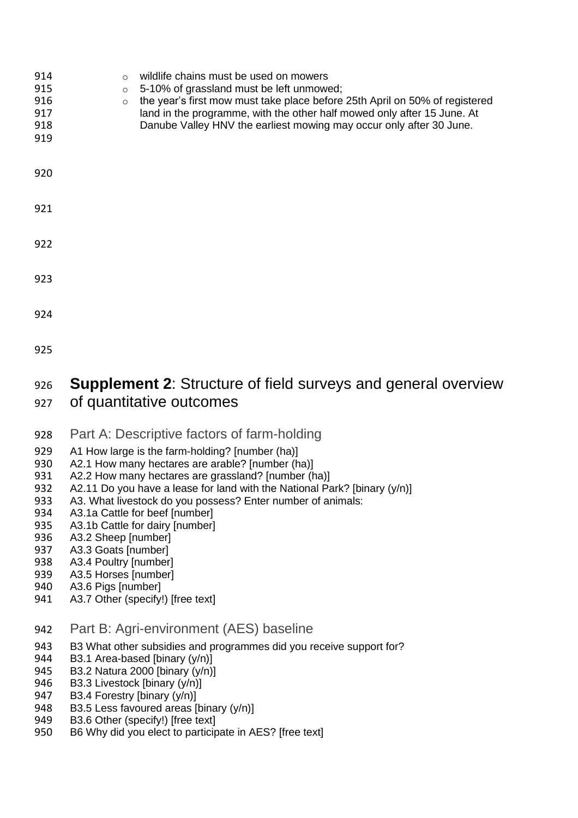| 914<br>915<br>916<br>917<br>918<br>919 | $\Omega$<br>$\circ$<br>$\circ$ | wildlife chains must be used on mowers<br>5-10% of grassland must be left unmowed;<br>the year's first mow must take place before 25th April on 50% of registered<br>land in the programme, with the other half mowed only after 15 June. At<br>Danube Valley HNV the earliest mowing may occur only after 30 June. |
|----------------------------------------|--------------------------------|---------------------------------------------------------------------------------------------------------------------------------------------------------------------------------------------------------------------------------------------------------------------------------------------------------------------|
| 920                                    |                                |                                                                                                                                                                                                                                                                                                                     |
| 921                                    |                                |                                                                                                                                                                                                                                                                                                                     |
| 922                                    |                                |                                                                                                                                                                                                                                                                                                                     |
| 923                                    |                                |                                                                                                                                                                                                                                                                                                                     |
| 924                                    |                                |                                                                                                                                                                                                                                                                                                                     |
| 925                                    |                                |                                                                                                                                                                                                                                                                                                                     |

# 926 **Supplement 2**: Structure of field surveys and general overview

- 927 of quantitative outcomes
- 928 Part A: Descriptive factors of farm-holding
- 929 A1 How large is the farm-holding? [number (ha)]<br>930 A2.1 How many hectares are arable? Inumber (h
- 930 A2.1 How many hectares are arable? [number (ha)]<br>931 A2.2 How many hectares are grassland? Inumber (h
- 931 A2.2 How many hectares are grassland? [number (ha)]<br>932 A2.11 Do you have a lease for land with the National Pa
- 932 A2.11 Do you have a lease for land with the National Park? [binary  $(y/n)$ ]<br>933 A3. What livestock do you possess? Enter number of animals:
- 933 A3. What livestock do you possess? Enter number of animals:<br>934 A3.1a Cattle for beef [number]
- 934 A3.1a Cattle for beef [number]<br>935 A3.1b Cattle for dairy [number]
- 935 A3.1b Cattle for dairy [number]<br>936 A3.2 Sheep [number]
- 936 A3.2 Sheep [number]<br>937 A3.3 Goats [number]
- 937 A3.3 Goats [number]<br>938 A3.4 Poultry [number]
- 938 A3.4 Poultry [number]<br>939 A3.5 Horses [number]
- 939 A3.5 Horses [number]<br>940 A3.6 Pigs [number]
- 940 A3.6 Pigs [number]<br>941 A3.7 Other (specify)
- A3.7 Other (specify!) [free text]
- 942 Part B: Agri-environment (AES) baseline
- 943 B3 What other subsidies and programmes did you receive support for?<br>944 B3.1 Area-based [binary (y/n)]
- B3.1 Area-based [binary (y/n)]
- 
- 945 B3.2 Natura 2000 [binary (y/n)]<br>946 B3.3 Livestock [binary (y/n)] 946 B3.3 Livestock [binary (y/n)]<br>947 B3.4 Forestry [binary (y/n)]
- 947 B3.4 Forestry [binary (y/n)]<br>948 B3.5 Less favoured areas [b
- 948 B3.5 Less favoured areas [binary (y/n)]<br>949 B3.6 Other (specify!) [free text]
- B3.6 Other (specify!) [free text]
- 950 B6 Why did you elect to participate in AES? [free text]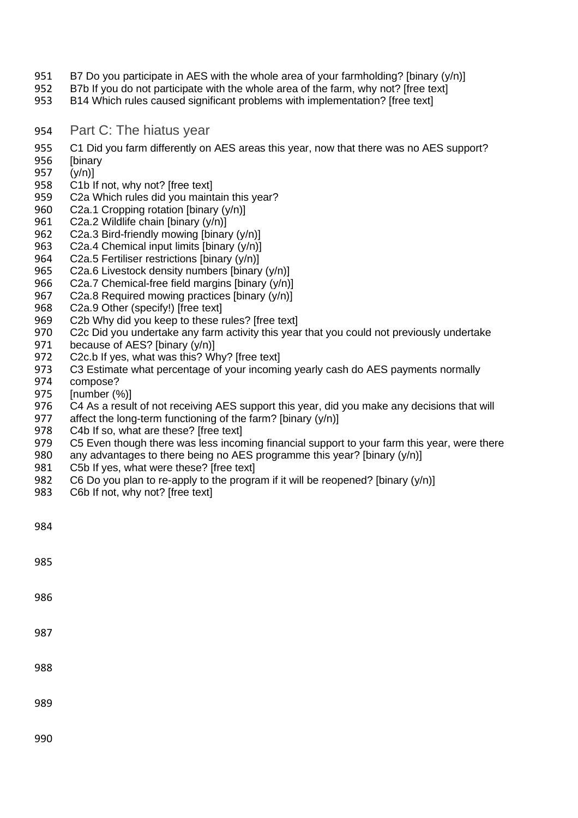- 951 B7 Do you participate in AES with the whole area of your farmholding? [binary (y/n)]
- 952 B7b If you do not participate with the whole area of the farm, why not? [free text]<br>953 B14 Which rules caused significant problems with implementation? [free text]
- B14 Which rules caused significant problems with implementation? [free text]
- 954 Part C: The hiatus year
- 955 C1 Did you farm differently on AES areas this year, now that there was no AES support?<br>956 [binary
- 956 [binary<br>957 (y/n)]
- 957 (y/n)]<br>958 C1b II
- 958 C1b If not, why not? [free text]<br>959 C2a Which rules did you maint
- 959 C2a Which rules did you maintain this year?<br>960 C2a.1 Cropping rotation [binary (y/n)]
- 960 C2a.1 Cropping rotation [binary (y/n)]<br>961 C2a.2 Wildlife chain [binary (y/n)]
- C2a.2 Wildlife chain [binary  $(y/n)$ ]
- 962 C2a.3 Bird-friendly mowing [binary (y/n)]
- 963 C2a.4 Chemical input limits [binary (y/n)]
- 964 C2a.5 Fertiliser restrictions [binary (y/n)]<br>965 C2a.6 Livestock density numbers [binary
- 965 C2a.6 Livestock density numbers [binary (y/n)]<br>966 C2a.7 Chemical-free field margins [binary (y/n)]
- 966 C2a.7 Chemical-free field margins [binary (y/n)]<br>967 C2a.8 Required mowing practices [binary (y/n)]
- C2a.8 Required mowing practices [binary  $(y/n)$ ]
- 968 C2a.9 Other (specify!) [free text]
- 969 C2b Why did you keep to these rules? [free text]
- 970 C2c Did you undertake any farm activity this year that you could not previously undertake 971 because of AES? [binary  $(y/n)$ ]
- 971 because of AES? [binary (y/n)]<br>972 C2c.b If ves. what was this? W
- 972 C2c.b If yes, what was this? Why? [free text]<br>973 C3 Estimate what percentage of your incomir
- 973 C3 Estimate what percentage of your incoming yearly cash do AES payments normally<br>974 compose?
- 974 compose?<br>975 [number (9
- $[number (%)]$
- 976 C4 As a result of not receiving AES support this year, did you make any decisions that will 977 affect the long-term functioning of the farm? [binary  $(y/n)$ ]
- 977 affect the long-term functioning of the farm? [binary (y/n)]<br>978 C4b If so, what are these? [free text]
- 978 C4b If so, what are these? [free text]<br>979 C5 Even though there was less incor
- 979 C5 Even though there was less incoming financial support to your farm this year, were there 980 any advantages to there being no AES programme this year? [binary  $(y/n)$ ]
- 980 any advantages to there being no AES programme this year? [binary (y/n)]<br>981 C5b If yes, what were these? [free text]
- C5b If yes, what were these? [free text]
- 982 C6 Do you plan to re-apply to the program if it will be reopened? [binary  $(y/n)$ ]
- 983 C6b If not, why not? [free text]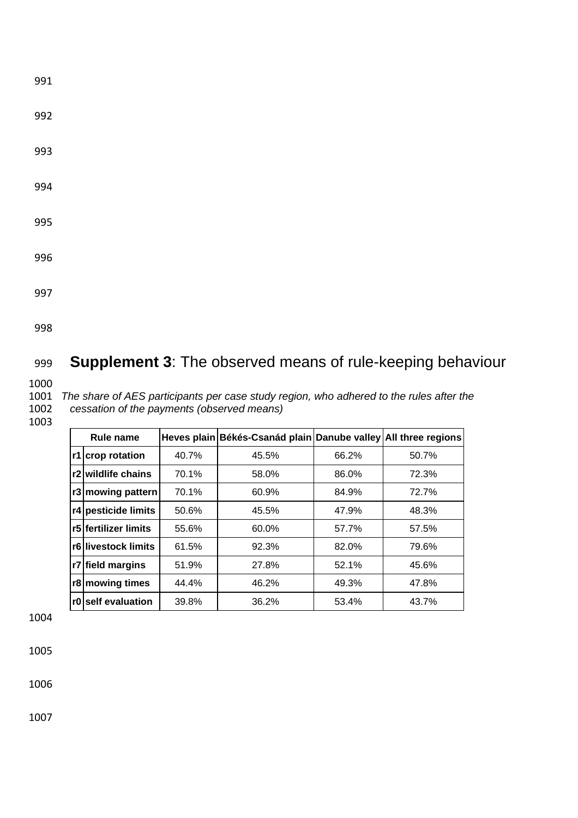- 992
- 993
- 994
- 995
- 996
- 
- 997
- 998

# 999 **Supplement 3**: The observed means of rule-keeping behaviour

1000

1001 *The share of AES participants per case study region, who adhered to the rules after the*  cessation of the payments (observed means)

#### 1003

| Rule name |                      |       | Heves plain Békés-Csanád plain Danube valley All three regions |       |       |
|-----------|----------------------|-------|----------------------------------------------------------------|-------|-------|
|           | r1 crop rotation     | 40.7% | 45.5%                                                          | 66.2% | 50.7% |
|           | r2 wildlife chains   | 70.1% | 58.0%                                                          | 86.0% | 72.3% |
|           | r3 mowing pattern    | 70.1% | 60.9%                                                          | 84.9% | 72.7% |
|           | r4 pesticide limits  | 50.6% | 45.5%                                                          | 47.9% | 48.3% |
|           | r5 fertilizer limits | 55.6% | 60.0%                                                          | 57.7% | 57.5% |
|           | r6 livestock limits  | 61.5% | 92.3%                                                          | 82.0% | 79.6% |
|           | r7 field margins     | 51.9% | 27.8%                                                          | 52.1% | 45.6% |
|           | r8 mowing times      | 44.4% | 46.2%                                                          | 49.3% | 47.8% |
|           | r0 self evaluation   | 39.8% | 36.2%                                                          | 53.4% | 43.7% |

1004

1005

1006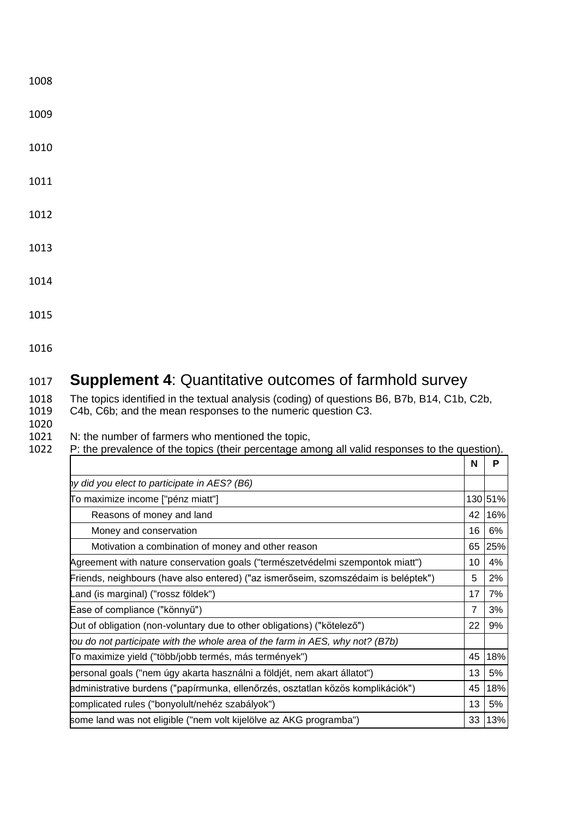1009

1010

1011

1012

1013

1014

1015

1016

# 1017 **Supplement 4**: Quantitative outcomes of farmhold survey

1018 The topics identified in the textual analysis (coding) of questions B6, B7b, B14, C1b, C2b, 1019 C4b, C6b; and the mean responses to the numeric question C3.

C4b, C6b; and the mean responses to the numeric question C3.

1020 1021 N: the number of farmers who mentioned the topic,<br>1022 P: the prevalence of the topics (their percentage am

P: the prevalence of the topics (their percentage among all valid responses to the question).

|                                                                                    | N              | P       |
|------------------------------------------------------------------------------------|----------------|---------|
| hy did you elect to participate in AES? (B6)                                       |                |         |
| To maximize income ["pénz miatt"]                                                  |                | 130 51% |
| Reasons of money and land                                                          | 42             | 16%     |
| Money and conservation                                                             | 16             | 6%      |
| Motivation a combination of money and other reason                                 | 65             | 25%     |
| Agreement with nature conservation goals ("természetvédelmi szempontok miatt")     | 10             | 4%      |
| Friends, neighbours (have also entered) ("az ismerőseim, szomszédaim is beléptek") | 5              | 2%      |
| and (is marginal) ("rossz földek").                                                | 17             | 7%      |
| Ease of compliance ("könnyű")                                                      | $\overline{7}$ | 3%      |
| Out of obligation (non-voluntary due to other obligations) ("kötelező")            | 22             | 9%      |
| ou do not participate with the whole area of the farm in AES, why not? (B7b)       |                |         |
| To maximize yield ("több/jobb termés, más termények")                              | 45             | 18%     |
| personal goals ("nem úgy akarta használni a földjét, nem akart állatot")           | 13             | 5%      |
| administrative burdens ("papírmunka, ellenőrzés, osztatlan közös komplikációk")    | 45             | 18%     |
| complicated rules ("bonyolult/nehéz szabályok")                                    | 13             | 5%      |
| some land was not eligible ("nem volt kijelölve az AKG programba")                 | 33             | 13%     |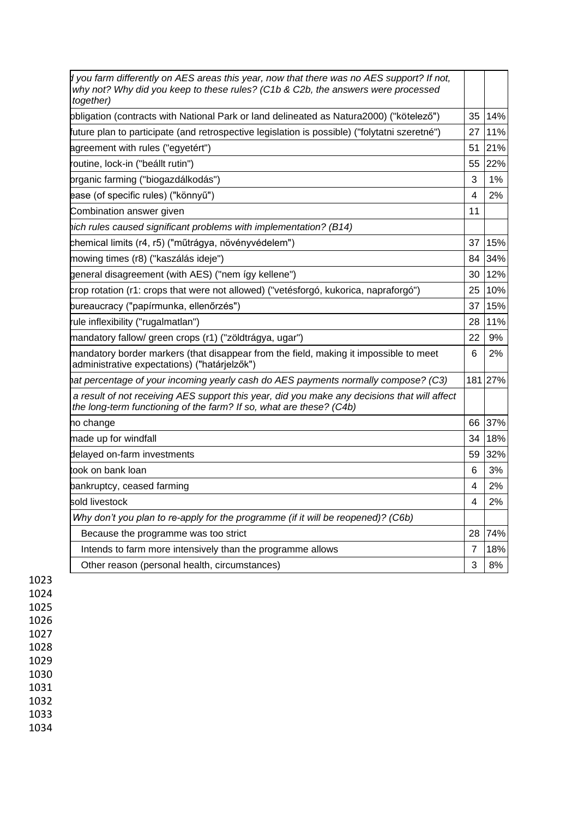| d you farm differently on AES areas this year, now that there was no AES support? If not,<br>why not? Why did you keep to these rules? (C1b & C2b, the answers were processed<br>together) |    |         |
|--------------------------------------------------------------------------------------------------------------------------------------------------------------------------------------------|----|---------|
| obligation (contracts with National Park or land delineated as Natura2000) ("kötelező")                                                                                                    | 35 | 14%     |
| 'uture plan to participate (and retrospective legislation is possible) ("folytatni szeretné")                                                                                              | 27 | 11%     |
| agreement with rules ("egyetért")                                                                                                                                                          | 51 | 21%     |
| outine, lock-in ("beállt rutin")                                                                                                                                                           | 55 | 22%     |
| organic farming ("biogazdálkodás")                                                                                                                                                         | 3  | 1%      |
| ease (of specific rules) ("könnyű")                                                                                                                                                        | 4  | 2%      |
| Combination answer given                                                                                                                                                                   | 11 |         |
| hich rules caused significant problems with implementation? (B14)                                                                                                                          |    |         |
| chemical limits (r4, r5) ("műtrágya, növényvédelem")                                                                                                                                       | 37 | 15%     |
| mowing times (r8) ("kaszálás ideje")                                                                                                                                                       | 84 | 34%     |
| general disagreement (with AES) ("nem így kellene")                                                                                                                                        | 30 | 12%     |
| crop rotation (r1: crops that were not allowed) ("vetésforgó, kukorica, napraforgó")                                                                                                       | 25 | 10%     |
| bureaucracy ("papírmunka, ellenőrzés")                                                                                                                                                     | 37 | 15%     |
| ule inflexibility ("rugalmatlan")                                                                                                                                                          | 28 | 11%     |
| mandatory fallow/ green crops (r1) ("zöldtrágya, ugar")                                                                                                                                    | 22 | 9%      |
| mandatory border markers (that disappear from the field, making it impossible to meet<br>administrative expectations) ("határjelzők")                                                      | 6  | 2%      |
| hat percentage of your incoming yearly cash do AES payments normally compose? (C3)                                                                                                         |    | 181 27% |
| a result of not receiving AES support this year, did you make any decisions that will affect<br>the long-term functioning of the farm? If so, what are these? (C4b)                        |    |         |
| no change                                                                                                                                                                                  | 66 | 37%     |
| made up for windfall                                                                                                                                                                       | 34 | 18%     |
| delayed on-farm investments                                                                                                                                                                | 59 | 32%     |
| took on bank loan                                                                                                                                                                          | 6  | 3%      |
| bankruptcy, ceased farming                                                                                                                                                                 | 4  | 2%      |
| sold livestock                                                                                                                                                                             | 4  | 2%      |
| Why don't you plan to re-apply for the programme (if it will be reopened)? (C6b)                                                                                                           |    |         |
| Because the programme was too strict                                                                                                                                                       | 28 | 74%     |
| Intends to farm more intensively than the programme allows                                                                                                                                 | 7  | 18%     |
| Other reason (personal health, circumstances)                                                                                                                                              | 3  | 8%      |

1026 1027

1028

1029

1030

1031

1032

1033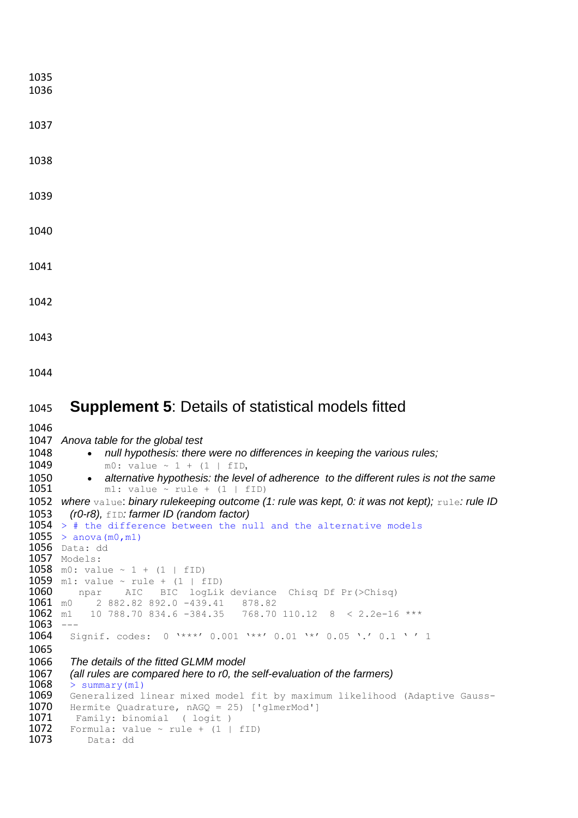| 1035<br>1036      |                                                                                                                            |
|-------------------|----------------------------------------------------------------------------------------------------------------------------|
| 1037              |                                                                                                                            |
| 1038              |                                                                                                                            |
| 1039              |                                                                                                                            |
| 1040              |                                                                                                                            |
| 1041              |                                                                                                                            |
| 1042              |                                                                                                                            |
| 1043              |                                                                                                                            |
| 1044              |                                                                                                                            |
| 1045              | <b>Supplement 5: Details of statistical models fitted</b>                                                                  |
| 1046              |                                                                                                                            |
| 1047              | Anova table for the global test                                                                                            |
| 1048              | null hypothesis: there were no differences in keeping the various rules;                                                   |
|                   |                                                                                                                            |
| 1049              | m0: value $\sim$ 1 + (1   fID,                                                                                             |
| 1050<br>1051      | alternative hypothesis: the level of adherence to the different rules is not the same<br>m1: value $\sim$ rule + (1   fID) |
|                   |                                                                                                                            |
| 1052              | where value: binary rulekeeping outcome (1: rule was kept, 0: it was not kept); rule: rule ID                              |
| 1053              | $(ro-r8)$ , $fID: farmer ID (random factor)$<br>$1054$ > # the difference between the null and the alternative models      |
|                   | $1055 >$ anova $(m0, m1)$                                                                                                  |
|                   | 1056 Data: dd                                                                                                              |
|                   | 1057 Models:                                                                                                               |
|                   | 1058 m0: value $\sim 1 + (1 + fID)$                                                                                        |
|                   | 1059 m1: value $\sim$ rule + (1   fID)                                                                                     |
| 1060<br>$1061$ mo | npar AIC BIC logLik deviance Chisq Df Pr(>Chisq)<br>2 882.82 892.0 -439.41 878.82                                          |
| 1062              | 10 788.70 834.6 -384.35  768.70 110.12  8 < 2.2e-16 ***<br>m1                                                              |
| 1063              |                                                                                                                            |
| 1064              | $0 \rightarrow***$ ' 0.001 '**' 0.01 '*' 0.05 '.' 0.1 '' 1<br>Signif. codes:                                               |
| 1065              |                                                                                                                            |
| 1066              | The details of the fitted GLMM model                                                                                       |
| 1067<br>1068      | (all rules are compared here to r0, the self-evaluation of the farmers)<br>> summary(m1)                                   |
| 1069              | Generalized linear mixed model fit by maximum likelihood (Adaptive Gauss-                                                  |
| 1070              |                                                                                                                            |
|                   | Hermite Quadrature, $nAGQ = 25$ ) ['glmerMod']                                                                             |
| 1071              | Family: binomial ( logit )                                                                                                 |
| 1072<br>1073      | Formula: value $\sim$ rule + (1   fID)<br>Data: dd                                                                         |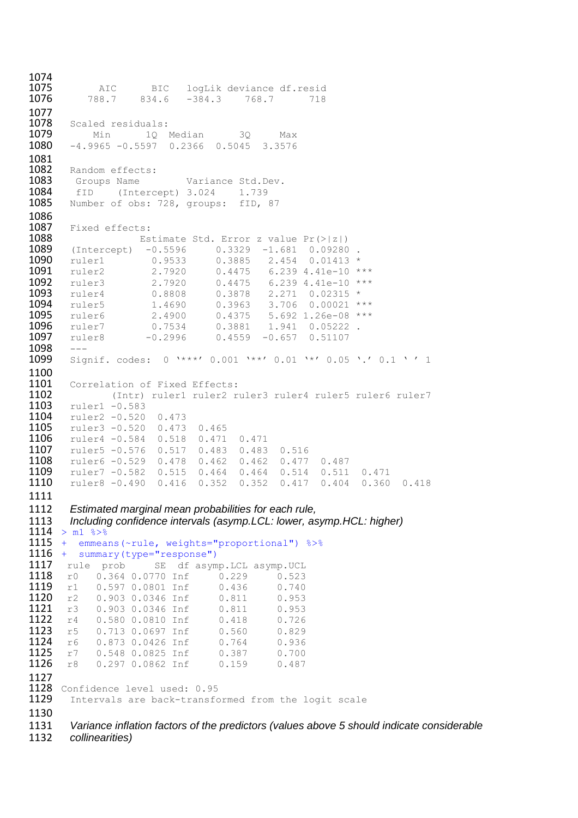1074<br>1075 **1075** AIC BIC logLik deviance df.resid<br>**1076** 788.7 834.6 -384.3 768.7 718 834.6 -384.3 768.7 1077<br>1078 1078 Scaled residuals:<br>1079 Min 10 1 1079 Min 10 Median 30 Max<br>1080 -4.9965 -0.5597 0.2366 0.5045 3.3576  $-4.9965 -0.5597$  0.2366 0.5045 3.3576 1081<br>1082 1082 Random effects:<br>1083 Groups Name 1083 Groups Name Variance Std.Dev.<br>1084 fID (Intercept) 3.024 1.739 **1084** fID (Intercept) 3.024 1.739<br>**1085** Number of obs: 728, groups: fID, Number of obs: 728, groups: fID, 87 1086<br>1087 1087 Fixed effects:<br>1088 Es 1088 Estimate Std. Error z value Pr(>|z|)<br>1089 (Intercept) -0.5596 0.3329 -1.681 0.09280 1089 (Intercept) -0.5596 0.3329 -1.681 0.09280.<br>1090 ruler1 0.9533 0.3885 2.454 0.01413 \* 1090 ruler1 0.9533<br>1091 ruler2 2.7920 **1091** ruler2 2.7920 0.4475 6.239 4.41e-10 \*\*\*<br>**1092** ruler3 2.7920 0.4475 6.239 4.41e-10 \*\*\* **1092** ruler3 2.7920 0.4475 6.239 4.41e-10 \*\*\*<br>**1093** ruler4 0.8808 0.3878 2.271 0.02315 \* 1093 ruler4 0.8808 0.3878 2.271 0.02315 \* 1094 ruler5 1.4690 0.3963 3.706 0.00021 \*\*\*<br>1095 ruler6 2.4900 0.4375 5.692 1.26e-08 \*\*\*<br>1096 ruler7 0.7534 0.3881 1.941 0.05222. **1095** ruler6 2.4900 0.4375 5.692 1.26e-08 \*\*\*<br>**1096** ruler7 0.7534 0.3881 1.941 0.05222. 1096 ruler7 0.7534 0.3881 1.941 0.05222 .  $0.4559 -0.657 0.51107$ 1098<br>1099 Signif. codes: 0 '\*\*\*' 0.001 '\*\*' 0.01 '\*' 0.05 '.' 0.1 ' ' 1 1100<br>1101 1101 Correlation of Fixed Effects:<br>1102 (Intr) ruler1 ruler2 r 1102 (Intr) ruler1 ruler2 ruler3 ruler4 ruler5 ruler6 ruler7<br>1103 ruler1 -0.583 **1103** ruler1 -0.583<br>**1104** ruler2 -0.520 1104 ruler2 -0.520 0.473<br>1105 ruler3 -0.520 0.473 1105 ruler3 -0.520 0.473 0.465<br>1106 ruler4 -0.584 0.518 0.471 1106 ruler4 -0.584 0.518 0.471 0.471<br>1107 ruler5 -0.576 0.517 0.483 0.483 1107 ruler5 -0.576 0.517 0.483 0.483 0.516<br>1108 ruler6 -0.529 0.478 0.462 0.462 0.477 1108 ruler6 -0.529 0.478 0.462 0.462 0.477 0.487<br>1109 ruler7 -0.582 0.515 0.464 0.464 0.514 0.511 1109 ruler7 -0.582 0.515 0.464 0.464 0.514 0.511 0.471<br>1110 ruler8 -0.490 0.416 0.352 0.352 0.417 0.404 0.360 1110 ruler8 -0.490 0.416 0.352 0.352 0.417 0.404 0.360 0.418 1111 1112 *Estimated marginal mean probabilities for each rule,* 1113 *Including confidence intervals (asymp.LCL: lower, asymp.HCL: higher)*  $1114 > m1$   $8>8$ 1115 + emmeans(~rule, weights="proportional") %>% 1116 + summary(type="response")<br>1117 rule prob SE df asym 1117 rule prob SE df asymp.LCL asymp.UCL<br>1118 r0 0.364 0.0770 Inf 0.229 0.523 1118 r0 0.364 0.0770 Inf 0.229 0.523<br>1119 r1 0.597 0.0801 Inf 0.436 0.740 1119 r1 0.597 0.0801 Inf 0.436 0.740<br>1120 r2 0.903 0.0346 Inf 0.811 0.953 1120 r2 0.903 0.0346 Inf<br>1121 r3 0.903 0.0346 Inf 1121 r3 0.903 0.0346 Inf 0.811 0.953<br>1122 r4 0.580 0.0810 Inf 0.418 0.726 1122 r4 0.580 0.0810 Inf 0.418 0.726<br>1123 r5 0.713 0.0697 Inf 0.560 0.829 1123 r5 0.713 0.0697 Inf 0.560 0.829<br>1124 r6 0.873 0.0426 Inf 0.764 0.936 1124 r6 0.873 0.0426 Inf 0.764 0.936<br>1125 r7 0.548 0.0825 Inf 0.387 0.700 1125 r7 0.548 0.0825 Inf 0.387 0.700<br>1126 r8 0.297 0.0862 Inf 0.159 0.487 0.297 0.0862 Inf 1127 1128 Confidence level used: 0.95 1129 Intervals are back-transformed from the logit scale 1130 1131 *Variance inflation factors of the predictors (values above 5 should indicate considerable*  collinearities)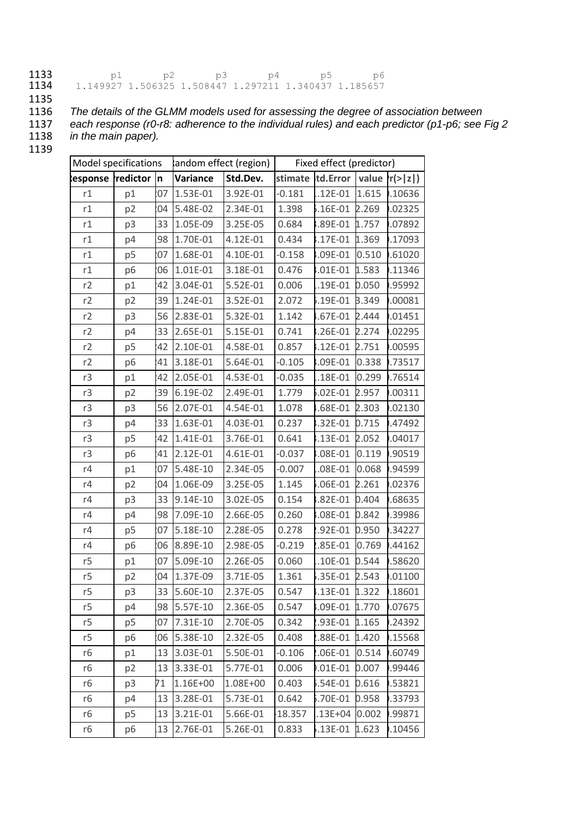#### **1133** p1 p2 p3 p4 p5 p6 1134 1.149927 1.506325 1.508447 1.297211 1.340437 1.185657

1135<br>1136

1136 *The details of the GLMM models used for assessing the degree of association between*  1137 *each response (r0-r8: adherence to the individual rules) and each predictor (p1-p6; see Fig 2*  in the main paper).

|                   | Model specifications |    |             | andom effect (region) |          | Fixed effect (predictor) |       |                              |
|-------------------|----------------------|----|-------------|-----------------------|----------|--------------------------|-------|------------------------------|
| kesponse redictor |                      | 'n | Variance    | Std.Dev.              |          | stimate itd.Error        |       | value $\{r(>\vert z\vert)\}$ |
| r1                | p1                   | 07 | 1.53E-01    | 3.92E-01              | $-0.181$ | $.12E-01$                | 1.615 | .10636                       |
| r1                | p <sub>2</sub>       | 04 | 5.48E-02    | 2.34E-01              | 1.398    | 5.16E-01 2.269           |       | .02325                       |
| r1                | p3                   | 33 | 1.05E-09    | 3.25E-05              | 0.684    | 8.89E-01 1.757           |       | .07892                       |
| r1                | p4                   | 98 | 1.70E-01    | 4.12E-01              | 0.434    | 8.17E-01 1.369           |       | .17093                       |
| r1                | p <sub>5</sub>       | 07 | 1.68E-01    | 4.10E-01              | $-0.158$ | 8.09E-01 0.510           |       | .61020                       |
| r1                | p <sub>6</sub>       | 06 | 1.01E-01    | 3.18E-01              | 0.476    | 8.01E-01 1.583           |       | .11346                       |
| r2                | p1                   | 42 | 3.04E-01    | 5.52E-01              | 0.006    | 1.19E-01 0.050           |       | .95992                       |
| r2                | p2                   | 39 | 1.24E-01    | 3.52E-01              | 2.072    | 5.19E-01 B.349           |       | .00081                       |
| r2                | p3                   | 56 | 2.83E-01    | 5.32E-01              | 1.142    | I.67E-01 2.444           |       | .01451                       |
| r2                | p4                   | 33 | 2.65E-01    | 5.15E-01              | 0.741    | 3.26E-01 2.274           |       | .02295                       |
| r2                | p <sub>5</sub>       | 42 | 2.10E-01    | 4.58E-01              | 0.857    | 3.12E-01 2.751           |       | .00595                       |
| r2                | p <sub>6</sub>       | 41 | 3.18E-01    | 5.64E-01              | $-0.105$ | 8.09E-01 0.338           |       | .73517                       |
| r3                | p1                   | 42 | 2.05E-01    | 4.53E-01              | $-0.035$ | 18E-01 0.299             |       | .76514                       |
| r3                | p <sub>2</sub>       | 39 | 6.19E-02    | 2.49E-01              | 1.779    | 5.02E-01 2.957           |       | .00311                       |
| r3                | p3                   | 56 | 2.07E-01    | 4.54E-01              | 1.078    | I.68E-01 2.303           |       | .02130                       |
| r3                | p4                   | 33 | 1.63E-01    | 4.03E-01              | 0.237    | 3.32E-01 0.715           |       | .47492                       |
| r3                | p <sub>5</sub>       | 42 | 1.41E-01    | 3.76E-01              | 0.641    | 3.13E-01                 | 2.052 | .04017                       |
| r3                | p <sub>6</sub>       | 41 | 2.12E-01    | 4.61E-01              | $-0.037$ | 8.08E-01 0.119           |       | .90519                       |
| r4                | p1                   | 07 | 5.48E-10    | 2.34E-05              | $-0.007$ | L.08E-01                 | 0.068 | .94599                       |
| r4                | p2                   | 04 | 1.06E-09    | 3.25E-05              | 1.145    | 06E-01 2.261             |       | .02376                       |
| r4                | p3                   | 33 | 9.14E-10    | 3.02E-05              | 0.154    | 8.82E-01 0.404           |       | .68635                       |
| r4                | p4                   | 98 | 7.09E-10    | 2.66E-05              | 0.260    | 8.08E-01 0.842           |       | .39986                       |
| r4                | p <sub>5</sub>       | 07 | 5.18E-10    | 2.28E-05              | 0.278    | .92E-01 0.950            |       | .34227                       |
| r4                | p6                   | 06 | 8.89E-10    | 2.98E-05              | $-0.219$ | 1.85E-01                 | 0.769 | .44162                       |
| r5                | p1                   | 07 | 5.09E-10    | 2.26E-05              | 0.060    | .10E-01 0.544            |       | .58620                       |
| r5                | p <sub>2</sub>       | 04 | 1.37E-09    | 3.71E-05              | 1.361    | 5.35E-01 2.543           |       | .01100                       |
| r5                | p3                   | 33 | 5.60E-10    | 2.37E-05              | 0.547    | I.13E-01 1.322           |       | .18601                       |
| r5                | p4                   |    | 98 5.57E-10 | 2.36E-05              | 0.547    | 8.09E-01 1.770           |       | .07675                       |
| r5                | p <sub>5</sub>       | 07 | 7.31E-10    | 2.70E-05              | 0.342    | !93E-01 1.165            |       | .24392                       |
| r5                | p6                   |    | 06 5.38E-10 | 2.32E-05              | 0.408    | .88E-01 1.420            |       | .15568                       |
| r6                | p1                   | 13 | 3.03E-01    | 5.50E-01              | $-0.106$ | 0.514                    |       | .60749                       |
| r6                | p <sub>2</sub>       | 13 | 3.33E-01    | 5.77E-01              | 0.006    | 0.01E-01 0.007           |       | .99446                       |
| r6                | p3                   | 71 | 1.16E+00    | 1.08E+00              | 0.403    | 5.54E-01 0.616           |       | .53821                       |
| r6                | p4                   | 13 | 3.28E-01    | 5.73E-01              | 0.642    | 5.70E-01 0.958           |       | .33793                       |
| r6                | p <sub>5</sub>       | 13 | 3.21E-01    | 5.66E-01              | 18.357   | .13E+04 0.002            |       | 1.99871                      |
| r6                | p6                   | 13 | 2.76E-01    | 5.26E-01              | 0.833    | 5.13E-01 1.623           |       | .10456                       |